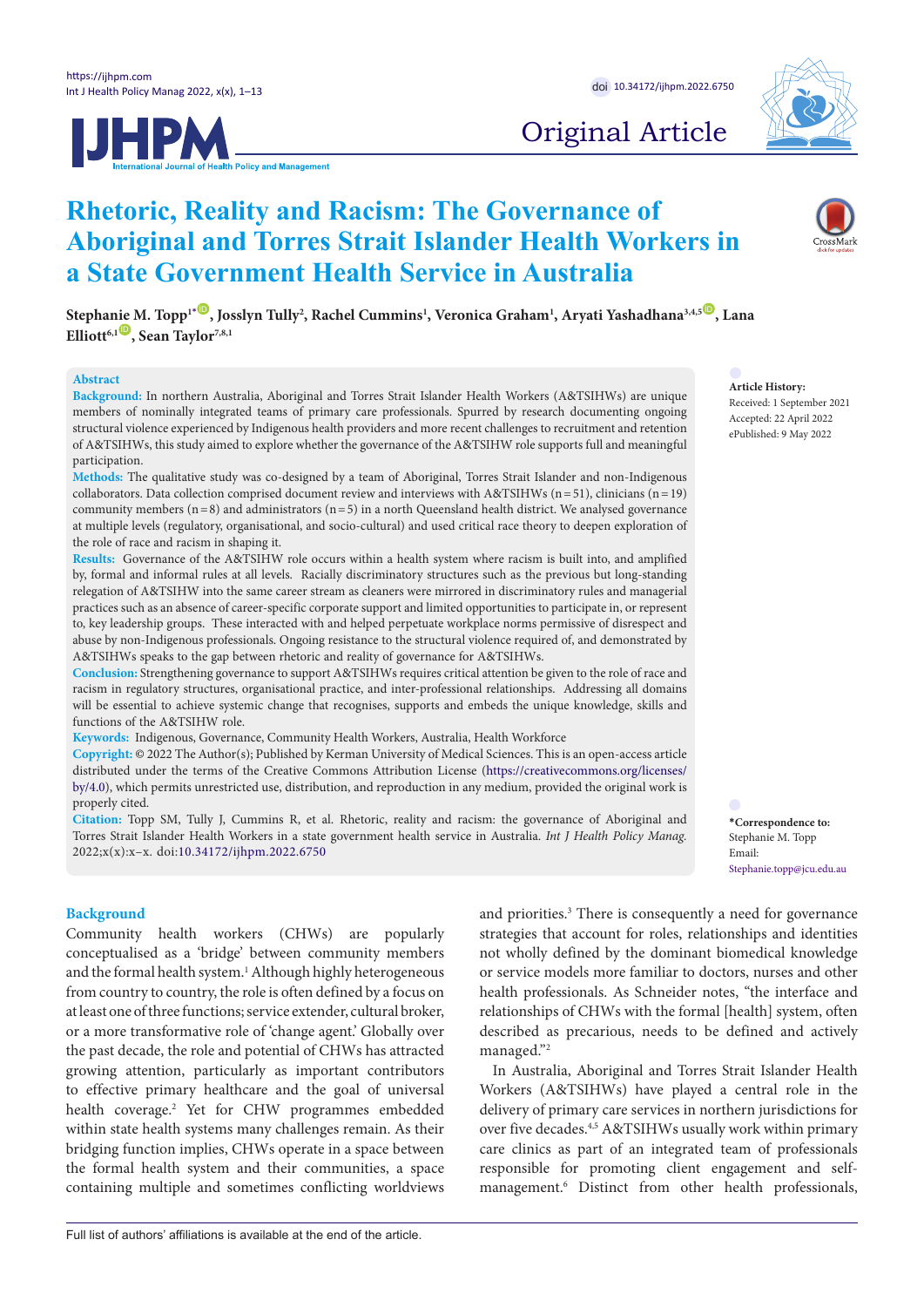



# Original Article

# **Rhetoric, Reality and Racism: The Governance of Aboriginal and Torres Strait Islander Health Workers in a State Government Health Service in Australia**

 $\delta$ Stepha[nie M](https://orcid.org/0000-0003-0228-6957). Topp1[\\*](#page-0-0) $^{\bullet}$ , Josslyn Tully<sup>2</sup>, Rachel Cummins<sup>1</sup>, Veronica Graham<sup>1</sup>, Aryati Yashadhana<sup>3,4,5</sub>, Lana</sup>  $\text{Elliott}^{6,1}$ , Sean Taylor<sup>7,8,1</sup>

### **Abstract**

**Background:** In northern Australia, Aboriginal and Torres Strait Islander Health Workers (A&TSIHWs) are unique members of nominally integrated teams of primary care professionals. Spurred by research documenting ongoing structural violence experienced by Indigenous health providers and more recent challenges to recruitment and retention of A&TSIHWs, this study aimed to explore whether the governance of the A&TSIHW role supports full and meaningful participation.

**Methods:** The qualitative study was co-designed by a team of Aboriginal, Torres Strait Islander and non-Indigenous collaborators. Data collection comprised document review and interviews with A&TSIHWs (n=51), clinicians (n=19) community members  $(n=8)$  and administrators  $(n=5)$  in a north Queensland health district. We analysed governance at multiple levels (regulatory, organisational, and socio-cultural) and used critical race theory to deepen exploration of the role of race and racism in shaping it.

**Results:** Governance of the A&TSIHW role occurs within a health system where racism is built into, and amplified by, formal and informal rules at all levels. Racially discriminatory structures such as the previous but long-standing relegation of A&TSIHW into the same career stream as cleaners were mirrored in discriminatory rules and managerial practices such as an absence of career-specific corporate support and limited opportunities to participate in, or represent to, key leadership groups. These interacted with and helped perpetuate workplace norms permissive of disrespect and abuse by non-Indigenous professionals. Ongoing resistance to the structural violence required of, and demonstrated by A&TSIHWs speaks to the gap between rhetoric and reality of governance for A&TSIHWs.

**Conclusion:** Strengthening governance to support A&TSIHWs requires critical attention be given to the role of race and racism in regulatory structures, organisational practice, and inter-professional relationships. Addressing all domains will be essential to achieve systemic change that recognises, supports and embeds the unique knowledge, skills and functions of the A&TSIHW role.

**Keywords:** Indigenous, Governance, Community Health Workers, Australia, Health Workforce

**Copyright:** © 2022 The Author(s); Published by Kerman University of Medical Sciences. This is an open-access article distributed under the terms of the Creative Commons Attribution License [\(https://creativecommons.org/licenses/](https://creativecommons.org/licenses/by/4.0/) [by/4.0\)](https://creativecommons.org/licenses/by/4.0/), which permits unrestricted use, distribution, and reproduction in any medium, provided the original work is properly cited.

**Citation:** Topp SM, Tully J, Cummins R, et al. Rhetoric, reality and racism: the governance of Aboriginal and Torres Strait Islander Health Workers in a state government health service in Australia. *Int J Health Policy Manag.*  2022;x(x):x–x. doi:[10.34172/ijhpm.2022.6750](https://doi.org/10.34172/ijhpm.2022.6750)

#### **Background**

Community health workers (CHWs) are popularly conceptualised as a 'bridge' between community members and the formal health system.<sup>1</sup> Although highly heterogeneous from country to country, the role is often defined by a focus on at least one of three functions; service extender, cultural broker, or a more transformative role of 'change agent.' Globally over the past decade, the role and potential of CHWs has attracted growing attention, particularly as important contributors to effective primary healthcare and the goal of universal health coverage.2 Yet for CHW programmes embedded within state health systems many challenges remain. As their bridging function implies, CHWs operate in a space between the formal health system and their communities, a space containing multiple and sometimes conflicting worldviews

and priorities.<sup>3</sup> There is consequently a need for governance strategies that account for roles, relationships and identities not wholly defined by the dominant biomedical knowledge or service models more familiar to doctors, nurses and other health professionals. As Schneider notes, "the interface and relationships of CHWs with the formal [health] system, often described as precarious, needs to be defined and actively managed."2

In Australia, Aboriginal and Torres Strait Islander Health Workers (A&TSIHWs) have played a central role in the delivery of primary care services in northern jurisdictions for over five decades.4,5 A&TSIHWs usually work within primary care clinics as part of an integrated team of professionals responsible for promoting client engagement and selfmanagement.6 Distinct from other health professionals,

**Article History:** Received: 1 September 2021 Accepted: 22 April 2022 ePublished: 9 May 2022

<span id="page-0-0"></span>**\*Correspondence to:** Stephanie M. Topp Email: Stephanie.topp@jcu.edu.au

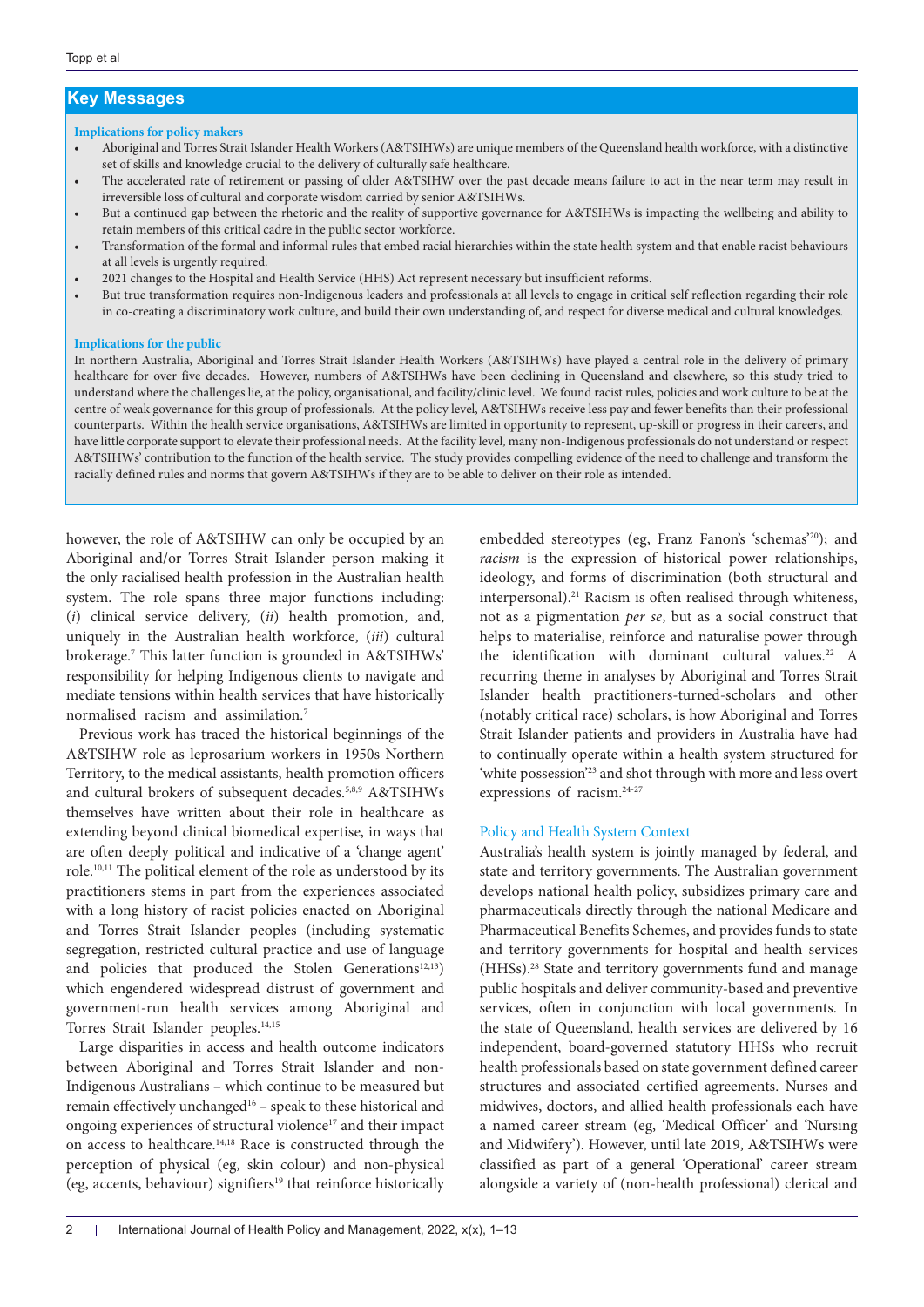# **Key Messages**

### **Implications for policy makers**

- Aboriginal and Torres Strait Islander Health Workers (A&TSIHWs) are unique members of the Queensland health workforce, with a distinctive set of skills and knowledge crucial to the delivery of culturally safe healthcare.
- The accelerated rate of retirement or passing of older A&TSIHW over the past decade means failure to act in the near term may result in irreversible loss of cultural and corporate wisdom carried by senior A&TSIHWs.
- But a continued gap between the rhetoric and the reality of supportive governance for A&TSIHWs is impacting the wellbeing and ability to retain members of this critical cadre in the public sector workforce.
- Transformation of the formal and informal rules that embed racial hierarchies within the state health system and that enable racist behaviours at all levels is urgently required.
- 2021 changes to the Hospital and Health Service (HHS) Act represent necessary but insufficient reforms.
- But true transformation requires non-Indigenous leaders and professionals at all levels to engage in critical self reflection regarding their role in co-creating a discriminatory work culture, and build their own understanding of, and respect for diverse medical and cultural knowledges.

#### **Implications for the public**

In northern Australia, Aboriginal and Torres Strait Islander Health Workers (A&TSIHWs) have played a central role in the delivery of primary healthcare for over five decades. However, numbers of A&TSIHWs have been declining in Queensland and elsewhere, so this study tried to understand where the challenges lie, at the policy, organisational, and facility/clinic level. We found racist rules, policies and work culture to be at the centre of weak governance for this group of professionals. At the policy level, A&TSIHWs receive less pay and fewer benefits than their professional counterparts. Within the health service organisations, A&TSIHWs are limited in opportunity to represent, up-skill or progress in their careers, and have little corporate support to elevate their professional needs. At the facility level, many non-Indigenous professionals do not understand or respect A&TSIHWs' contribution to the function of the health service. The study provides compelling evidence of the need to challenge and transform the racially defined rules and norms that govern A&TSIHWs if they are to be able to deliver on their role as intended.

however, the role of A&TSIHW can only be occupied by an Aboriginal and/or Torres Strait Islander person making it the only racialised health profession in the Australian health system. The role spans three major functions including: (*i*) clinical service delivery, (*ii*) health promotion, and, uniquely in the Australian health workforce, (*iii*) cultural brokerage.7 This latter function is grounded in A&TSIHWs' responsibility for helping Indigenous clients to navigate and mediate tensions within health services that have historically normalised racism and assimilation.7

Previous work has traced the historical beginnings of the A&TSIHW role as leprosarium workers in 1950s Northern Territory, to the medical assistants, health promotion officers and cultural brokers of subsequent decades.5,8,9 A&TSIHWs themselves have written about their role in healthcare as extending beyond clinical biomedical expertise, in ways that are often deeply political and indicative of a 'change agent' role.10,11 The political element of the role as understood by its practitioners stems in part from the experiences associated with a long history of racist policies enacted on Aboriginal and Torres Strait Islander peoples (including systematic segregation, restricted cultural practice and use of language and policies that produced the Stolen Generations<sup>12,13</sup>) which engendered widespread distrust of government and government-run health services among Aboriginal and Torres Strait Islander peoples.<sup>14,15</sup>

Large disparities in access and health outcome indicators between Aboriginal and Torres Strait Islander and non-Indigenous Australians – which continue to be measured but remain effectively unchanged<sup>16</sup> - speak to these historical and ongoing experiences of structural violence<sup>17</sup> and their impact on access to healthcare.14,18 Race is constructed through the perception of physical (eg, skin colour) and non-physical (eg, accents, behaviour) signifiers<sup>19</sup> that reinforce historically embedded stereotypes (eg, Franz Fanon's 'schemas'20); and *racism* is the expression of historical power relationships, ideology, and forms of discrimination (both structural and interpersonal).<sup>21</sup> Racism is often realised through whiteness, not as a pigmentation *per se*, but as a social construct that helps to materialise, reinforce and naturalise power through the identification with dominant cultural values.<sup>22</sup> A recurring theme in analyses by Aboriginal and Torres Strait Islander health practitioners-turned-scholars and other (notably critical race) scholars, is how Aboriginal and Torres Strait Islander patients and providers in Australia have had to continually operate within a health system structured for 'white possession'23 and shot through with more and less overt expressions of racism.24-27

### Policy and Health System Context

Australia's health system is jointly managed by federal, and state and territory governments. The Australian government develops national health policy, subsidizes primary care and pharmaceuticals directly through the national Medicare and Pharmaceutical Benefits Schemes, and provides funds to state and territory governments for hospital and health services (HHSs).28 State and territory governments fund and manage public hospitals and deliver community-based and preventive services, often in conjunction with local governments. In the state of Queensland, health services are delivered by 16 independent, board-governed statutory HHSs who recruit health professionals based on state government defined career structures and associated certified agreements. Nurses and midwives, doctors, and allied health professionals each have a named career stream (eg, 'Medical Officer' and 'Nursing and Midwifery'). However, until late 2019, A&TSIHWs were classified as part of a general 'Operational' career stream alongside a variety of (non-health professional) clerical and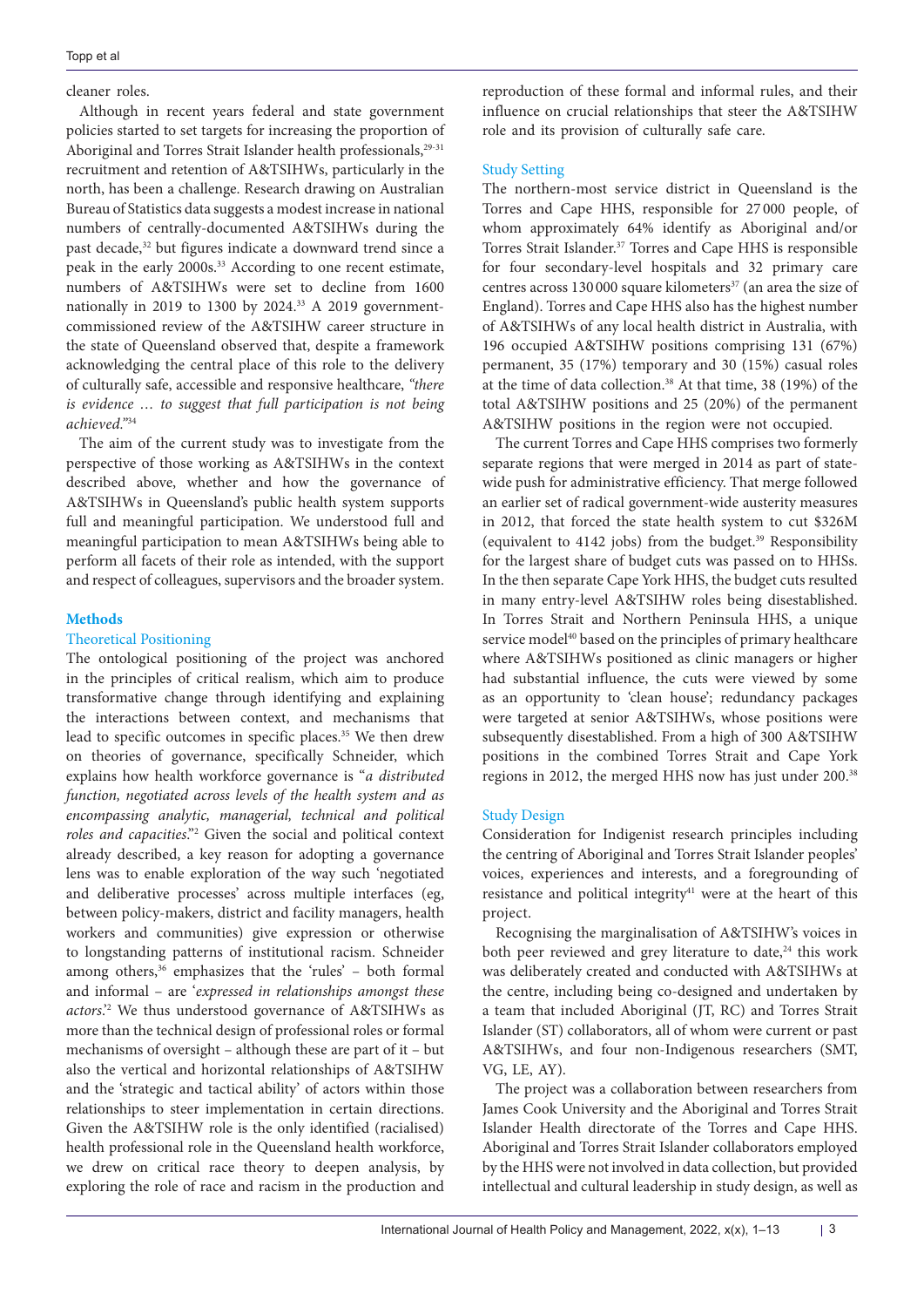## cleaner roles.

Although in recent years federal and state government policies started to set targets for increasing the proportion of Aboriginal and Torres Strait Islander health professionals,<sup>29-31</sup> recruitment and retention of A&TSIHWs, particularly in the north, has been a challenge. Research drawing on Australian Bureau of Statistics data suggests a modest increase in national numbers of centrally-documented A&TSIHWs during the past decade,<sup>32</sup> but figures indicate a downward trend since a peak in the early 2000s.33 According to one recent estimate, numbers of A&TSIHWs were set to decline from 1600 nationally in 2019 to 1300 by 2024.33 A 2019 governmentcommissioned review of the A&TSIHW career structure in the state of Queensland observed that, despite a framework acknowledging the central place of this role to the delivery of culturally safe, accessible and responsive healthcare, *"there is evidence … to suggest that full participation is not being achieved."*<sup>34</sup>

The aim of the current study was to investigate from the perspective of those working as A&TSIHWs in the context described above, whether and how the governance of A&TSIHWs in Queensland's public health system supports full and meaningful participation. We understood full and meaningful participation to mean A&TSIHWs being able to perform all facets of their role as intended, with the support and respect of colleagues, supervisors and the broader system.

# **Methods**

## Theoretical Positioning

The ontological positioning of the project was anchored in the principles of critical realism, which aim to produce transformative change through identifying and explaining the interactions between context, and mechanisms that lead to specific outcomes in specific places.35 We then drew on theories of governance, specifically Schneider, which explains how health workforce governance is "*a distributed function, negotiated across levels of the health system and as encompassing analytic, managerial, technical and political roles and capacities*."2 Given the social and political context already described, a key reason for adopting a governance lens was to enable exploration of the way such 'negotiated and deliberative processes' across multiple interfaces (eg, between policy-makers, district and facility managers, health workers and communities) give expression or otherwise to longstanding patterns of institutional racism. Schneider among others,<sup>36</sup> emphasizes that the 'rules' - both formal and informal – are '*expressed in relationships amongst these actors*.'2 We thus understood governance of A&TSIHWs as more than the technical design of professional roles or formal mechanisms of oversight – although these are part of it – but also the vertical and horizontal relationships of A&TSIHW and the 'strategic and tactical ability' of actors within those relationships to steer implementation in certain directions. Given the A&TSIHW role is the only identified (racialised) health professional role in the Queensland health workforce, we drew on critical race theory to deepen analysis, by exploring the role of race and racism in the production and

reproduction of these formal and informal rules, and their influence on crucial relationships that steer the A&TSIHW role and its provision of culturally safe care.

# Study Setting

The northern-most service district in Queensland is the Torres and Cape HHS, responsible for 27 000 people, of whom approximately 64% identify as Aboriginal and/or Torres Strait Islander.37 Torres and Cape HHS is responsible for four secondary-level hospitals and 32 primary care centres across 130 000 square kilometers<sup>37</sup> (an area the size of England). Torres and Cape HHS also has the highest number of A&TSIHWs of any local health district in Australia, with 196 occupied A&TSIHW positions comprising 131 (67%) permanent, 35 (17%) temporary and 30 (15%) casual roles at the time of data collection.<sup>38</sup> At that time, 38 (19%) of the total A&TSIHW positions and 25 (20%) of the permanent A&TSIHW positions in the region were not occupied.

The current Torres and Cape HHS comprises two formerly separate regions that were merged in 2014 as part of statewide push for administrative efficiency. That merge followed an earlier set of radical government-wide austerity measures in 2012, that forced the state health system to cut \$326M (equivalent to 4142 jobs) from the budget.<sup>39</sup> Responsibility for the largest share of budget cuts was passed on to HHSs. In the then separate Cape York HHS, the budget cuts resulted in many entry-level A&TSIHW roles being disestablished. In Torres Strait and Northern Peninsula HHS, a unique service model<sup>40</sup> based on the principles of primary healthcare where A&TSIHWs positioned as clinic managers or higher had substantial influence, the cuts were viewed by some as an opportunity to 'clean house'; redundancy packages were targeted at senior A&TSIHWs, whose positions were subsequently disestablished. From a high of 300 A&TSIHW positions in the combined Torres Strait and Cape York regions in 2012, the merged HHS now has just under 200.<sup>38</sup>

# Study Design

Consideration for Indigenist research principles including the centring of Aboriginal and Torres Strait Islander peoples' voices, experiences and interests, and a foregrounding of resistance and political integrity $41$  were at the heart of this project.

Recognising the marginalisation of A&TSIHW's voices in both peer reviewed and grey literature to date, $24$  this work was deliberately created and conducted with A&TSIHWs at the centre, including being co-designed and undertaken by a team that included Aboriginal (JT, RC) and Torres Strait Islander (ST) collaborators, all of whom were current or past A&TSIHWs, and four non-Indigenous researchers (SMT, VG, LE, AY).

The project was a collaboration between researchers from James Cook University and the Aboriginal and Torres Strait Islander Health directorate of the Torres and Cape HHS. Aboriginal and Torres Strait Islander collaborators employed by the HHS were not involved in data collection, but provided intellectual and cultural leadership in study design, as well as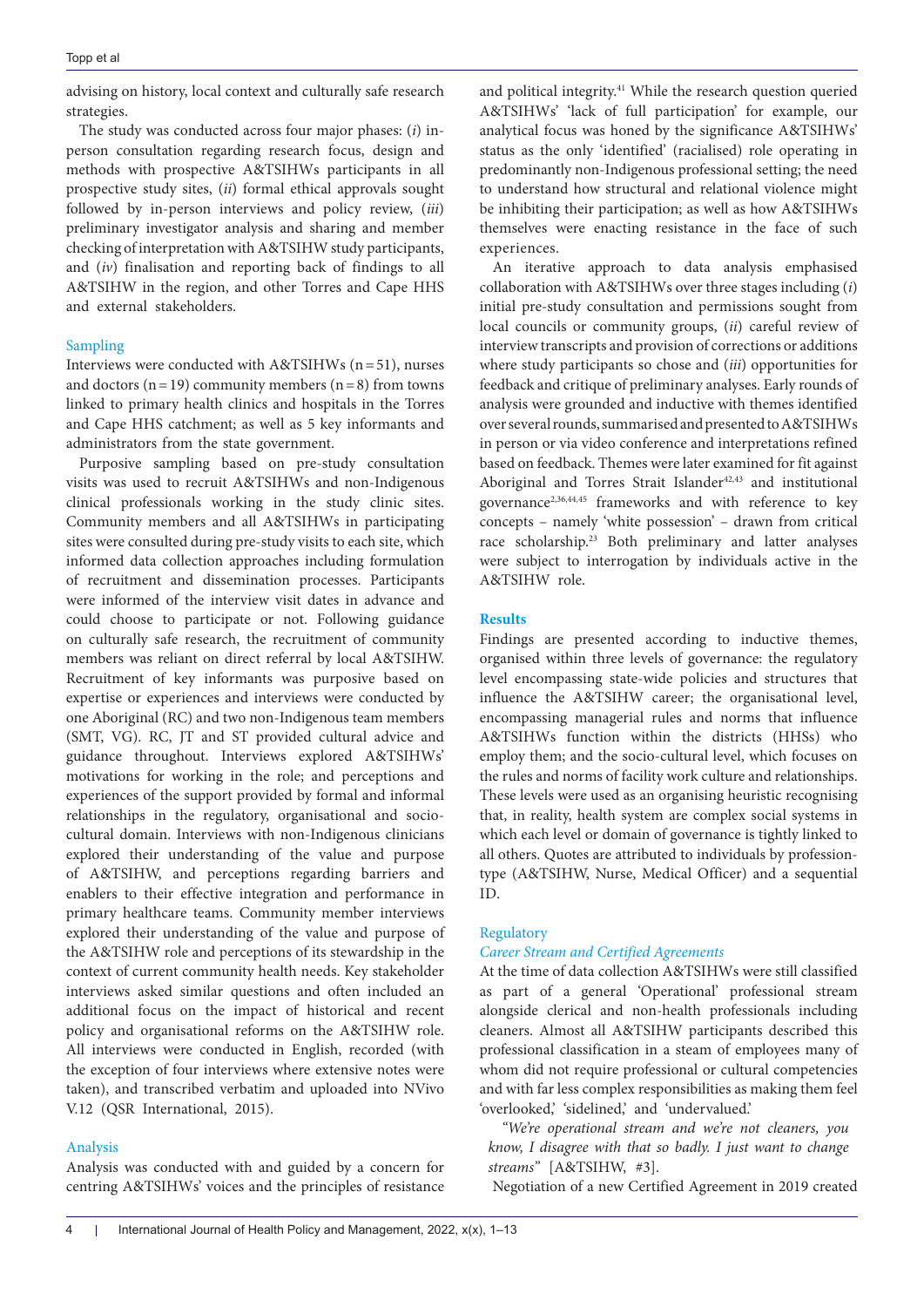advising on history, local context and culturally safe research strategies.

The study was conducted across four major phases: (*i*) inperson consultation regarding research focus, design and methods with prospective A&TSIHWs participants in all prospective study sites, (*ii*) formal ethical approvals sought followed by in-person interviews and policy review, (*iii*) preliminary investigator analysis and sharing and member checking of interpretation with A&TSIHW study participants, and (*iv*) finalisation and reporting back of findings to all A&TSIHW in the region, and other Torres and Cape HHS and external stakeholders.

# Sampling

Interviews were conducted with A&TSIHWs (n=51), nurses and doctors ( $n=19$ ) community members ( $n=8$ ) from towns linked to primary health clinics and hospitals in the Torres and Cape HHS catchment; as well as 5 key informants and administrators from the state government.

Purposive sampling based on pre-study consultation visits was used to recruit A&TSIHWs and non-Indigenous clinical professionals working in the study clinic sites. Community members and all A&TSIHWs in participating sites were consulted during pre-study visits to each site, which informed data collection approaches including formulation of recruitment and dissemination processes. Participants were informed of the interview visit dates in advance and could choose to participate or not. Following guidance on culturally safe research, the recruitment of community members was reliant on direct referral by local A&TSIHW. Recruitment of key informants was purposive based on expertise or experiences and interviews were conducted by one Aboriginal (RC) and two non-Indigenous team members (SMT, VG). RC, JT and ST provided cultural advice and guidance throughout. Interviews explored A&TSIHWs' motivations for working in the role; and perceptions and experiences of the support provided by formal and informal relationships in the regulatory, organisational and sociocultural domain. Interviews with non-Indigenous clinicians explored their understanding of the value and purpose of A&TSIHW, and perceptions regarding barriers and enablers to their effective integration and performance in primary healthcare teams. Community member interviews explored their understanding of the value and purpose of the A&TSIHW role and perceptions of its stewardship in the context of current community health needs. Key stakeholder interviews asked similar questions and often included an additional focus on the impact of historical and recent policy and organisational reforms on the A&TSIHW role. All interviews were conducted in English, recorded (with the exception of four interviews where extensive notes were taken), and transcribed verbatim and uploaded into NVivo V.12 (QSR International, 2015).

### Analysis

Analysis was conducted with and guided by a concern for centring A&TSIHWs' voices and the principles of resistance and political integrity.<sup>41</sup> While the research question queried A&TSIHWs' 'lack of full participation' for example, our analytical focus was honed by the significance A&TSIHWs' status as the only 'identified' (racialised) role operating in predominantly non-Indigenous professional setting; the need to understand how structural and relational violence might be inhibiting their participation; as well as how A&TSIHWs themselves were enacting resistance in the face of such experiences.

An iterative approach to data analysis emphasised collaboration with A&TSIHWs over three stages including (*i*) initial pre-study consultation and permissions sought from local councils or community groups, (*ii*) careful review of interview transcripts and provision of corrections or additions where study participants so chose and (*iii*) opportunities for feedback and critique of preliminary analyses. Early rounds of analysis were grounded and inductive with themes identified over several rounds, summarised and presented to A&TSIHWs in person or via video conference and interpretations refined based on feedback. Themes were later examined for fit against Aboriginal and Torres Strait Islander<sup>42,43</sup> and institutional governance2,36,44,45 frameworks and with reference to key concepts – namely 'white possession' – drawn from critical race scholarship.<sup>23</sup> Both preliminary and latter analyses were subject to interrogation by individuals active in the A&TSIHW role.

## **Results**

Findings are presented according to inductive themes, organised within three levels of governance: the regulatory level encompassing state-wide policies and structures that influence the A&TSIHW career; the organisational level, encompassing managerial rules and norms that influence A&TSIHWs function within the districts (HHSs) who employ them; and the socio-cultural level, which focuses on the rules and norms of facility work culture and relationships. These levels were used as an organising heuristic recognising that, in reality, health system are complex social systems in which each level or domain of governance is tightly linked to all others. Quotes are attributed to individuals by professiontype (A&TSIHW, Nurse, Medical Officer) and a sequential ID.

## **Regulatory**

## *Career Stream and Certified Agreements*

At the time of data collection A&TSIHWs were still classified as part of a general 'Operational' professional stream alongside clerical and non-health professionals including cleaners. Almost all A&TSIHW participants described this professional classification in a steam of employees many of whom did not require professional or cultural competencies and with far less complex responsibilities as making them feel 'overlooked,' 'sidelined,' and 'undervalued.'

*"We're operational stream and we're not cleaners, you know, I disagree with that so badly. I just want to change streams"* [A&TSIHW, #3].

Negotiation of a new Certified Agreement in 2019 created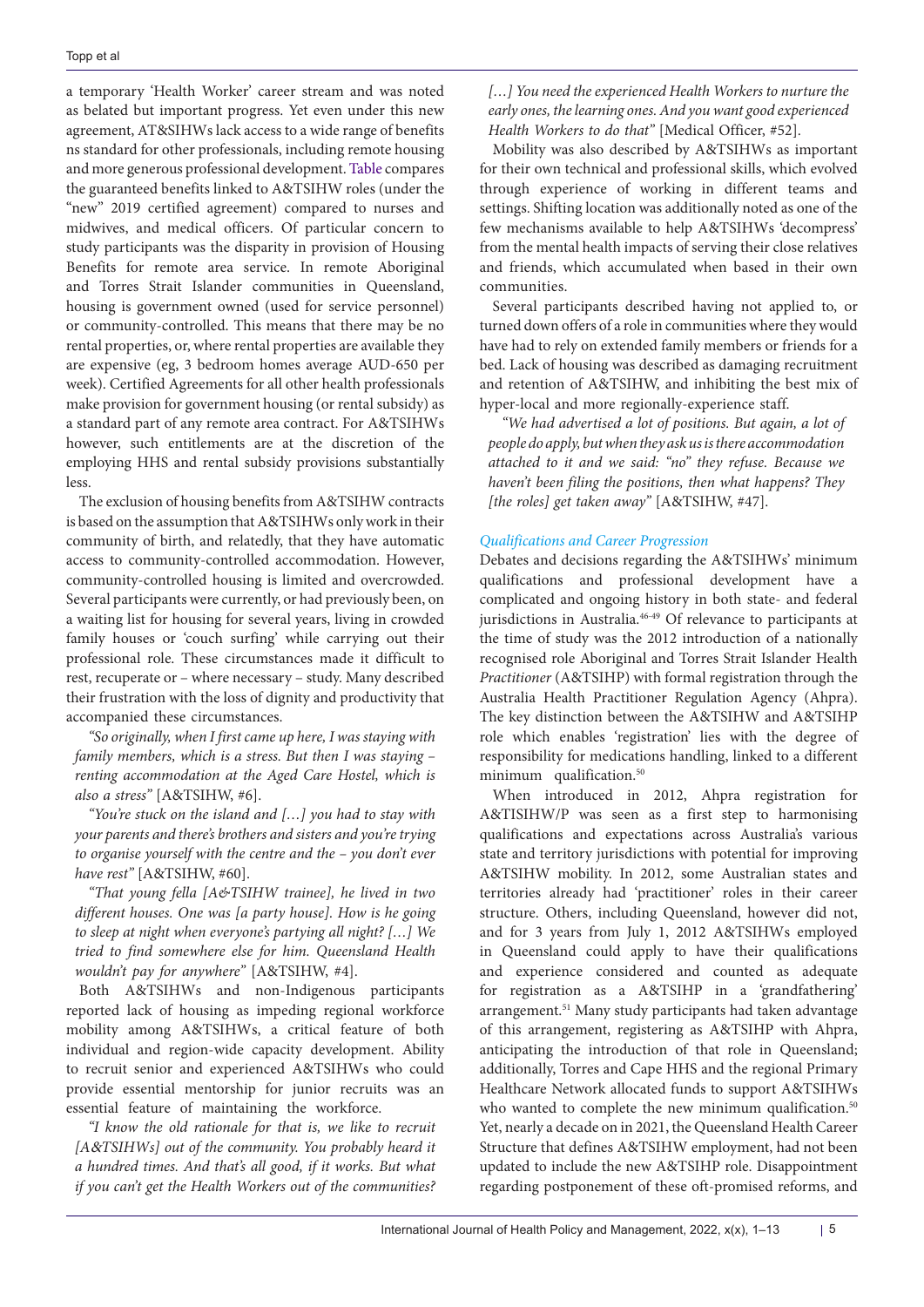a temporary 'Health Worker' career stream and was noted as belated but important progress. Yet even under this new agreement, AT&SIHWs lack access to a wide range of benefits ns standard for other professionals, including remote housing and more generous professional development. [Table](#page-5-0) compares the guaranteed benefits linked to A&TSIHW roles (under the "new" 2019 certified agreement) compared to nurses and midwives, and medical officers. Of particular concern to study participants was the disparity in provision of Housing Benefits for remote area service. In remote Aboriginal and Torres Strait Islander communities in Queensland, housing is government owned (used for service personnel) or community-controlled. This means that there may be no rental properties, or, where rental properties are available they are expensive (eg, 3 bedroom homes average AUD-650 per week). Certified Agreements for all other health professionals make provision for government housing (or rental subsidy) as a standard part of any remote area contract. For A&TSIHWs however, such entitlements are at the discretion of the employing HHS and rental subsidy provisions substantially less.

The exclusion of housing benefits from A&TSIHW contracts is based on the assumption that A&TSIHWs only work in their community of birth, and relatedly, that they have automatic access to community-controlled accommodation. However, community-controlled housing is limited and overcrowded. Several participants were currently, or had previously been, on a waiting list for housing for several years, living in crowded family houses or 'couch surfing' while carrying out their professional role. These circumstances made it difficult to rest, recuperate or – where necessary – study. Many described their frustration with the loss of dignity and productivity that accompanied these circumstances.

*"So originally, when I first came up here, I was staying with family members, which is a stress. But then I was staying – renting accommodation at the Aged Care Hostel, which is also a stress"* [A&TSIHW, #6].

*"You're stuck on the island and […] you had to stay with your parents and there's brothers and sisters and you're trying to organise yourself with the centre and the – you don't ever have rest"* [A&TSIHW, #60].

*"That young fella [A&TSIHW trainee], he lived in two different houses. One was [a party house]. How is he going to sleep at night when everyone's partying all night? […] We tried to find somewhere else for him. Queensland Health wouldn't pay for anywhere"* [A&TSIHW, #4].

Both A&TSIHWs and non-Indigenous participants reported lack of housing as impeding regional workforce mobility among A&TSIHWs, a critical feature of both individual and region-wide capacity development. Ability to recruit senior and experienced A&TSIHWs who could provide essential mentorship for junior recruits was an essential feature of maintaining the workforce.

*"I know the old rationale for that is, we like to recruit [A*&*TSIHWs] out of the community. You probably heard it a hundred times. And that's all good, if it works. But what if you can't get the Health Workers out of the communities?*  *[…] You need the experienced Health Workers to nurture the early ones, the learning ones. And you want good experienced Health Workers to do that"* [Medical Officer, #52].

Mobility was also described by A&TSIHWs as important for their own technical and professional skills, which evolved through experience of working in different teams and settings. Shifting location was additionally noted as one of the few mechanisms available to help A&TSIHWs 'decompress' from the mental health impacts of serving their close relatives and friends, which accumulated when based in their own communities.

Several participants described having not applied to, or turned down offers of a role in communities where they would have had to rely on extended family members or friends for a bed. Lack of housing was described as damaging recruitment and retention of A&TSIHW, and inhibiting the best mix of hyper-local and more regionally-experience staff.

*"We had advertised a lot of positions. But again, a lot of people do apply, but when they ask us is there accommodation attached to it and we said: "no" they refuse. Because we haven't been filing the positions, then what happens? They [the roles] get taken away"* [A&TSIHW, #47].

## *Qualifications and Career Progression*

Debates and decisions regarding the A&TSIHWs' minimum qualifications and professional development have a complicated and ongoing history in both state- and federal jurisdictions in Australia.<sup>46-49</sup> Of relevance to participants at the time of study was the 2012 introduction of a nationally recognised role Aboriginal and Torres Strait Islander Health *Practitioner* (A&TSIHP) with formal registration through the Australia Health Practitioner Regulation Agency (Ahpra). The key distinction between the A&TSIHW and A&TSIHP role which enables 'registration' lies with the degree of responsibility for medications handling, linked to a different minimum qualification.<sup>50</sup>

When introduced in 2012, Ahpra registration for A&TISIHW/P was seen as a first step to harmonising qualifications and expectations across Australia's various state and territory jurisdictions with potential for improving A&TSIHW mobility. In 2012, some Australian states and territories already had 'practitioner' roles in their career structure. Others, including Queensland, however did not, and for 3 years from July 1, 2012 A&TSIHWs employed in Queensland could apply to have their qualifications and experience considered and counted as adequate for registration as a A&TSIHP in a 'grandfathering' arrangement.51 Many study participants had taken advantage of this arrangement, registering as A&TSIHP with Ahpra, anticipating the introduction of that role in Queensland; additionally, Torres and Cape HHS and the regional Primary Healthcare Network allocated funds to support A&TSIHWs who wanted to complete the new minimum qualification.<sup>50</sup> Yet, nearly a decade on in 2021, the Queensland Health Career Structure that defines A&TSIHW employment, had not been updated to include the new A&TSIHP role. Disappointment regarding postponement of these oft-promised reforms, and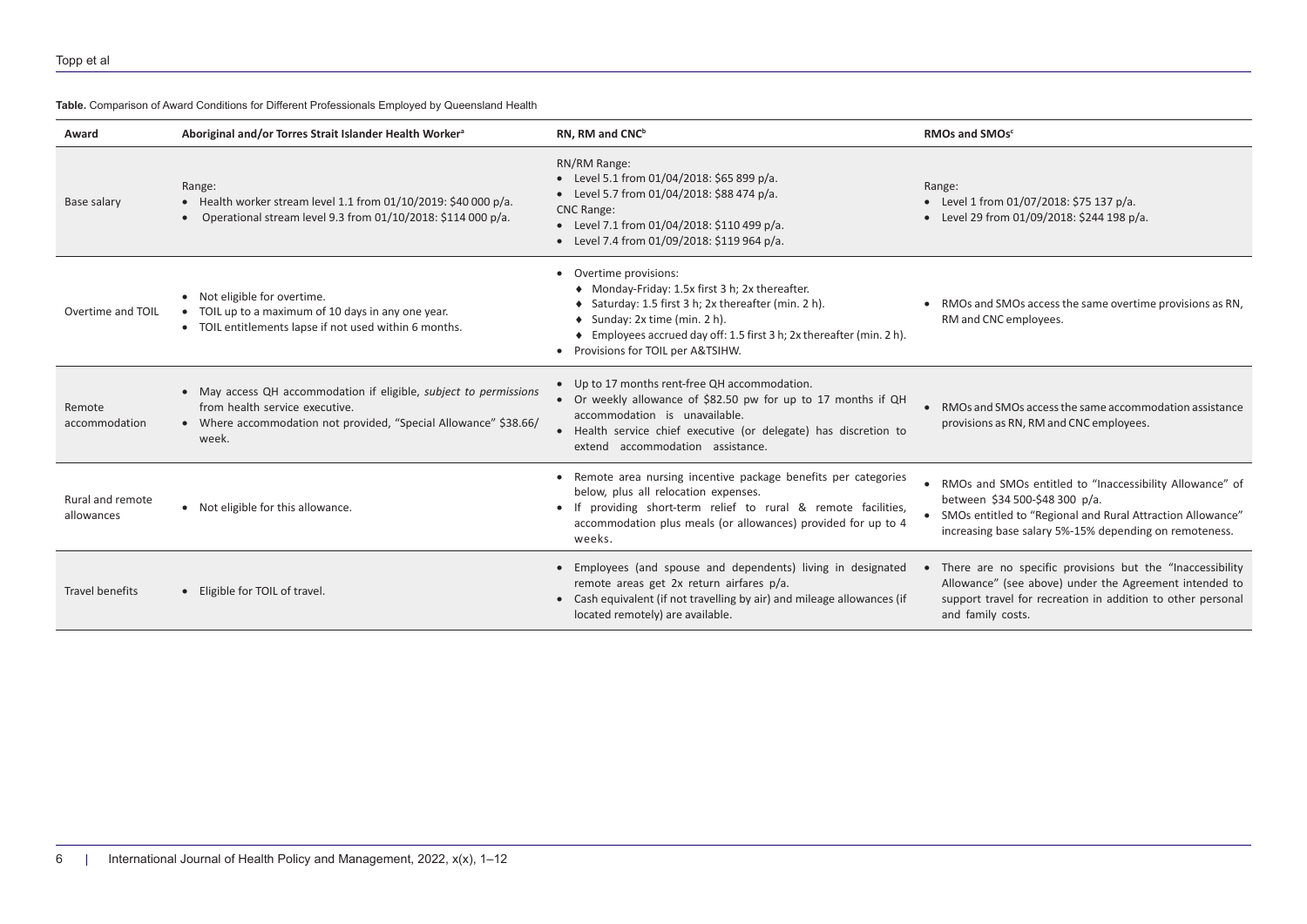**Table.** Comparison of Award Conditions for Different Professionals Employed by Queensland Health

<span id="page-5-0"></span>

| Award                          | Aboriginal and/or Torres Strait Islander Health Worker <sup>a</sup>                                                                                                              | RN, RM and CNC <sup>b</sup>                                                                                                                                                                                                                                                                                   | RMOs and SMOs <sup>c</sup>                                                                                                                                                                                             |
|--------------------------------|----------------------------------------------------------------------------------------------------------------------------------------------------------------------------------|---------------------------------------------------------------------------------------------------------------------------------------------------------------------------------------------------------------------------------------------------------------------------------------------------------------|------------------------------------------------------------------------------------------------------------------------------------------------------------------------------------------------------------------------|
| Base salary                    | Range:<br>$\bullet$ Health worker stream level 1.1 from 01/10/2019: \$40 000 p/a.<br>• Operational stream level 9.3 from $01/10/2018$ : \$114 000 p/a.                           | RN/RM Range:<br>• Level 5.1 from 01/04/2018: \$65 899 p/a.<br>• Level 5.7 from 01/04/2018: \$88 474 p/a.<br><b>CNC Range:</b><br>• Level 7.1 from 01/04/2018: \$110 499 p/a.<br>• Level 7.4 from 01/09/2018: \$119 964 p/a.                                                                                   | Range:<br>• Level 1 from 01/07/2018: \$75 137 p/a.<br>• Level 29 from 01/09/2018: \$244 198 p/a.                                                                                                                       |
| Overtime and TOIL              | • Not eligible for overtime.<br>• TOIL up to a maximum of 10 days in any one year.<br>• TOIL entitlements lapse if not used within 6 months.                                     | Overtime provisions:<br>$\bullet$<br>• Monday-Friday: 1.5x first 3 h; 2x thereafter.<br>Saturday: 1.5 first 3 h; 2x thereafter (min. 2 h).<br>$\bullet$ Sunday: 2x time (min. 2 h).<br>♦ Employees accrued day off: 1.5 first 3 h; 2x thereafter (min. 2 h).<br>Provisions for TOIL per A&TSIHW.<br>$\bullet$ | • RMOs and SMOs access the same overtime provisions as RN,<br>RM and CNC employees.                                                                                                                                    |
| Remote<br>accommodation        | • May access QH accommodation if eligible, subject to permissions<br>from health service executive.<br>• Where accommodation not provided, "Special Allowance" \$38.66/<br>week. | • Up to 17 months rent-free QH accommodation.<br>• Or weekly allowance of \$82.50 pw for up to 17 months if QH<br>accommodation is unavailable.<br>• Health service chief executive (or delegate) has discretion to<br>extend accommodation assistance.                                                       | • RMOs and SMOs access the same accommodation assistance<br>provisions as RN, RM and CNC employees.                                                                                                                    |
| Rural and remote<br>allowances | • Not eligible for this allowance.                                                                                                                                               | • Remote area nursing incentive package benefits per categories<br>below, plus all relocation expenses.<br>• If providing short-term relief to rural & remote facilities,<br>accommodation plus meals (or allowances) provided for up to 4<br>weeks.                                                          | • RMOs and SMOs entitled to "Inaccessibility Allowance" of<br>between \$34 500-\$48 300 p/a.<br>• SMOs entitled to "Regional and Rural Attraction Allowance"<br>increasing base salary 5%-15% depending on remoteness. |
| Travel benefits                | • Eligible for TOIL of travel.                                                                                                                                                   | Employees (and spouse and dependents) living in designated<br>remote areas get 2x return airfares p/a.<br>• Cash equivalent (if not travelling by air) and mileage allowances (if<br>located remotely) are available.                                                                                         | There are no specific provisions but the "Inaccessibility<br>Allowance" (see above) under the Agreement intended to<br>support travel for recreation in addition to other personal<br>and family costs.                |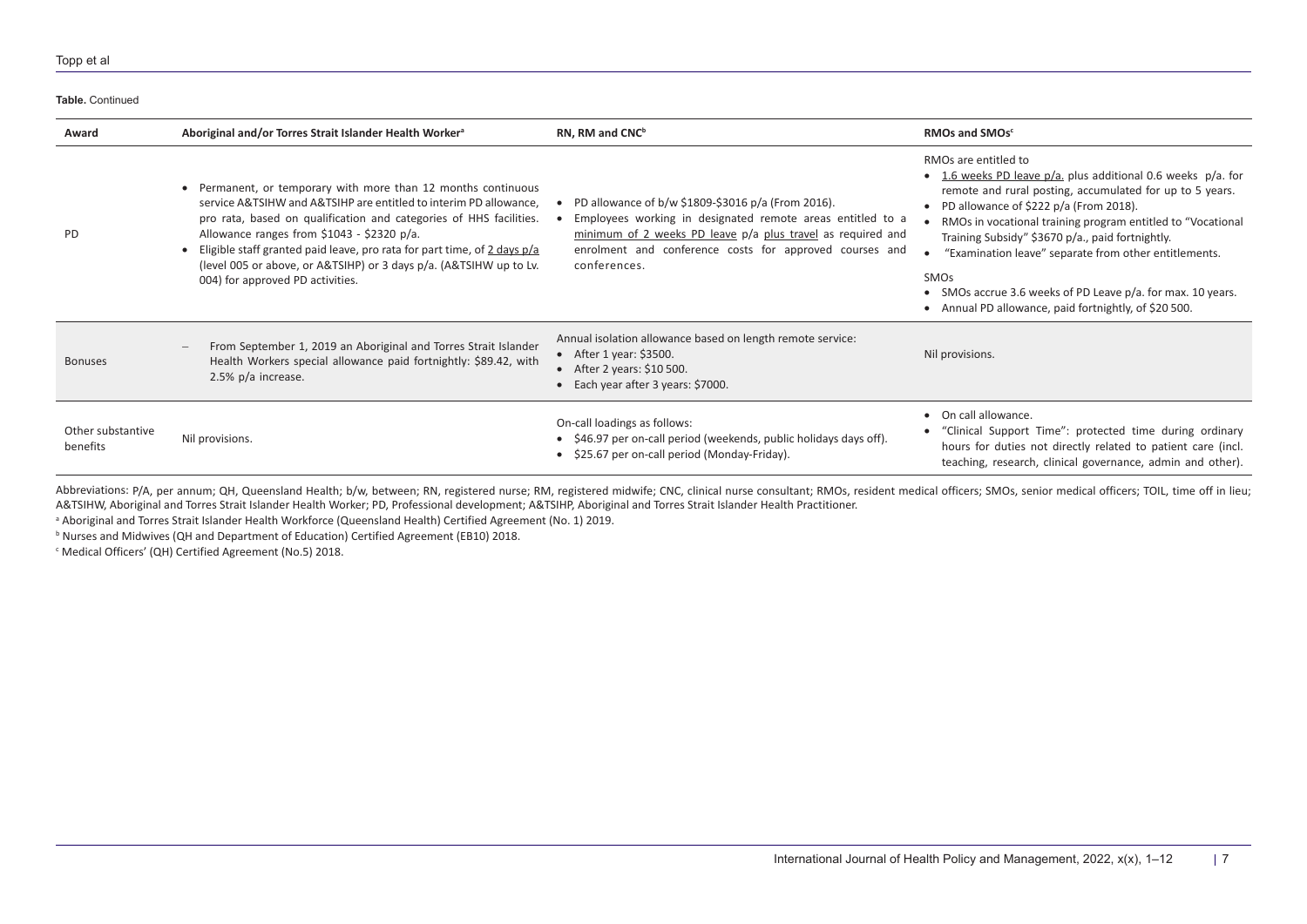#### Topp et al

| Table, Continued              |                                                                                                                                                                                                                                                                                                                                                                                                                                              |                                                                                                                                                                                                                                                            |                                                                                                                                                                                                                                                                                                                                                                                                                                                                                                                                   |  |
|-------------------------------|----------------------------------------------------------------------------------------------------------------------------------------------------------------------------------------------------------------------------------------------------------------------------------------------------------------------------------------------------------------------------------------------------------------------------------------------|------------------------------------------------------------------------------------------------------------------------------------------------------------------------------------------------------------------------------------------------------------|-----------------------------------------------------------------------------------------------------------------------------------------------------------------------------------------------------------------------------------------------------------------------------------------------------------------------------------------------------------------------------------------------------------------------------------------------------------------------------------------------------------------------------------|--|
| Award                         | Aboriginal and/or Torres Strait Islander Health Worker <sup>a</sup>                                                                                                                                                                                                                                                                                                                                                                          | RN, RM and CNC <sup>b</sup>                                                                                                                                                                                                                                | RMOs and SMOs <sup>c</sup>                                                                                                                                                                                                                                                                                                                                                                                                                                                                                                        |  |
| <b>PD</b>                     | Permanent, or temporary with more than 12 months continuous<br>service A&TSIHW and A&TSIHP are entitled to interim PD allowance,<br>pro rata, based on qualification and categories of HHS facilities.<br>Allowance ranges from \$1043 - \$2320 p/a.<br>• Eligible staff granted paid leave, pro rata for part time, of 2 days p/a<br>(level 005 or above, or A&TSIHP) or 3 days p/a. (A&TSIHW up to Lv.<br>004) for approved PD activities. | PD allowance of b/w \$1809-\$3016 p/a (From 2016).<br>Employees working in designated remote areas entitled to a<br>minimum of 2 weeks PD leave p/a plus travel as required and<br>enrolment and conference costs for approved courses and<br>conferences. | RMOs are entitled to<br>• 1.6 weeks PD leave $p/a$ , plus additional 0.6 weeks $p/a$ , for<br>remote and rural posting, accumulated for up to 5 years.<br>• PD allowance of $$222 p/a$ (From 2018).<br>RMOs in vocational training program entitled to "Vocational<br>Training Subsidy" \$3670 p/a., paid fortnightly.<br>"Examination leave" separate from other entitlements.<br><b>SMO<sub>s</sub></b><br>• SMOs accrue 3.6 weeks of PD Leave p/a. for max. 10 years.<br>• Annual PD allowance, paid fortnightly, of \$20 500. |  |
| <b>Bonuses</b>                | From September 1, 2019 an Aboriginal and Torres Strait Islander<br>Health Workers special allowance paid fortnightly: \$89.42, with<br>2.5% p/a increase.                                                                                                                                                                                                                                                                                    | Annual isolation allowance based on length remote service:<br>• After 1 year: $$3500$ .<br>• After 2 years: $$10 500$ .<br>• Each year after 3 years: \$7000.                                                                                              | Nil provisions.                                                                                                                                                                                                                                                                                                                                                                                                                                                                                                                   |  |
| Other substantive<br>benefits | Nil provisions.                                                                                                                                                                                                                                                                                                                                                                                                                              | On-call loadings as follows:<br>• \$46.97 per on-call period (weekends, public holidays days off).<br>\$25.67 per on-call period (Monday-Friday).                                                                                                          | • On call allowance.<br>• "Clinical Support Time": protected time during ordinary<br>hours for duties not directly related to patient care (incl.<br>teaching, research, clinical governance, admin and other).                                                                                                                                                                                                                                                                                                                   |  |

Abbreviations: P/A, per annum; QH, Queensland Health; b/w, between; RN, registered nurse; RM, registered midwife; CNC, clinical nurse consultant; RMOs, resident medical officers; SMOs, senior medical officers; TOIL, time o A&TSIHW, Aboriginal and Torres Strait Islander Health Worker; PD, Professional development; A&TSIHP, Aboriginal and Torres Strait Islander Health Practitioner.

<sup>a</sup> Aboriginal and Torres Strait Islander Health Workforce (Queensland Health) Certified Agreement (No. 1) 2019.

**b Nurses and Midwives (QH and Department of Education) Certified Agreement (EB10) 2018.** 

c Medical Officers' (QH) Certified Agreement (No.5) 2018.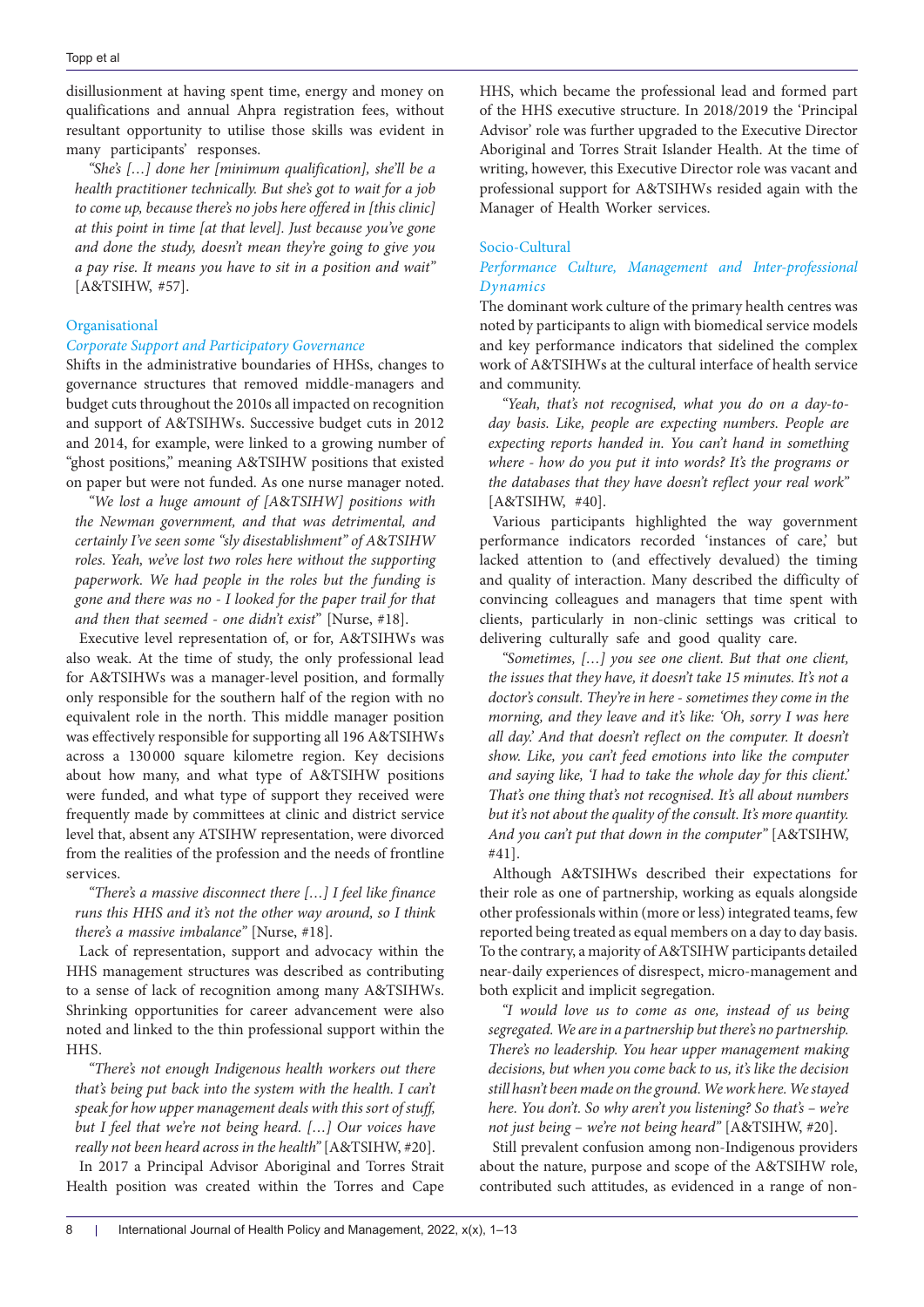disillusionment at having spent time, energy and money on qualifications and annual Ahpra registration fees, without resultant opportunity to utilise those skills was evident in many participants' responses.

*"She's […] done her [minimum qualification], she'll be a health practitioner technically. But she's got to wait for a job to come up, because there's no jobs here offered in [this clinic] at this point in time [at that level]. Just because you've gone and done the study, doesn't mean they're going to give you a pay rise. It means you have to sit in a position and wait"*  [A&TSIHW, #57].

## Organisational

## *Corporate Support and Participatory Governance*

Shifts in the administrative boundaries of HHSs, changes to governance structures that removed middle-managers and budget cuts throughout the 2010s all impacted on recognition and support of A&TSIHWs. Successive budget cuts in 2012 and 2014, for example, were linked to a growing number of "ghost positions," meaning A&TSIHW positions that existed on paper but were not funded. As one nurse manager noted.

*"We lost a huge amount of [A*&*TSIHW] positions with the Newman government, and that was detrimental, and certainly I've seen some "sly disestablishment" of A*&*TSIHW roles. Yeah, we've lost two roles here without the supporting paperwork. We had people in the roles but the funding is gone and there was no - I looked for the paper trail for that and then that seemed - one didn't exist*" [Nurse, #18].

Executive level representation of, or for, A&TSIHWs was also weak. At the time of study, the only professional lead for A&TSIHWs was a manager-level position, and formally only responsible for the southern half of the region with no equivalent role in the north. This middle manager position was effectively responsible for supporting all 196 A&TSIHWs across a 130 000 square kilometre region. Key decisions about how many, and what type of A&TSIHW positions were funded, and what type of support they received were frequently made by committees at clinic and district service level that, absent any ATSIHW representation, were divorced from the realities of the profession and the needs of frontline services.

## *"There's a massive disconnect there […] I feel like finance runs this HHS and it's not the other way around, so I think there's a massive imbalance"* [Nurse, #18].

Lack of representation, support and advocacy within the HHS management structures was described as contributing to a sense of lack of recognition among many A&TSIHWs. Shrinking opportunities for career advancement were also noted and linked to the thin professional support within the HHS.

*"There's not enough Indigenous health workers out there that's being put back into the system with the health. I can't speak for how upper management deals with this sort of stuff, but I feel that we're not being heard. […] Our voices have really not been heard across in the health"* [A&TSIHW, #20].

In 2017 a Principal Advisor Aboriginal and Torres Strait Health position was created within the Torres and Cape HHS, which became the professional lead and formed part of the HHS executive structure. In 2018/2019 the 'Principal Advisor' role was further upgraded to the Executive Director Aboriginal and Torres Strait Islander Health. At the time of writing, however, this Executive Director role was vacant and professional support for A&TSIHWs resided again with the Manager of Health Worker services.

# Socio-Cultural

# *Performance Culture, Management and Inter-professional Dynamics*

The dominant work culture of the primary health centres was noted by participants to align with biomedical service models and key performance indicators that sidelined the complex work of A&TSIHWs at the cultural interface of health service and community.

*"Yeah, that's not recognised, what you do on a day-today basis. Like, people are expecting numbers. People are expecting reports handed in. You can't hand in something where - how do you put it into words? It's the programs or the databases that they have doesn't reflect your real work"*  [A&TSIHW, #40].

Various participants highlighted the way government performance indicators recorded 'instances of care,' but lacked attention to (and effectively devalued) the timing and quality of interaction. Many described the difficulty of convincing colleagues and managers that time spent with clients, particularly in non-clinic settings was critical to delivering culturally safe and good quality care.

*"Sometimes, […] you see one client. But that one client, the issues that they have, it doesn't take 15 minutes. It's not a doctor's consult. They're in here - sometimes they come in the morning, and they leave and it's like: 'Oh, sorry I was here all day.' And that doesn't reflect on the computer. It doesn't show. Like, you can't feed emotions into like the computer and saying like, 'I had to take the whole day for this client.' That's one thing that's not recognised. It's all about numbers but it's not about the quality of the consult. It's more quantity. And you can't put that down in the computer"* [A&TSIHW, #41].

Although A&TSIHWs described their expectations for their role as one of partnership, working as equals alongside other professionals within (more or less) integrated teams, few reported being treated as equal members on a day to day basis. To the contrary, a majority of A&TSIHW participants detailed near-daily experiences of disrespect, micro-management and both explicit and implicit segregation.

*"I would love us to come as one, instead of us being segregated. We are in a partnership but there's no partnership. There's no leadership. You hear upper management making decisions, but when you come back to us, it's like the decision still hasn't been made on the ground. We work here. We stayed here. You don't. So why aren't you listening? So that's – we're not just being – we're not being heard"* [A&TSIHW, #20].

Still prevalent confusion among non-Indigenous providers about the nature, purpose and scope of the A&TSIHW role, contributed such attitudes, as evidenced in a range of non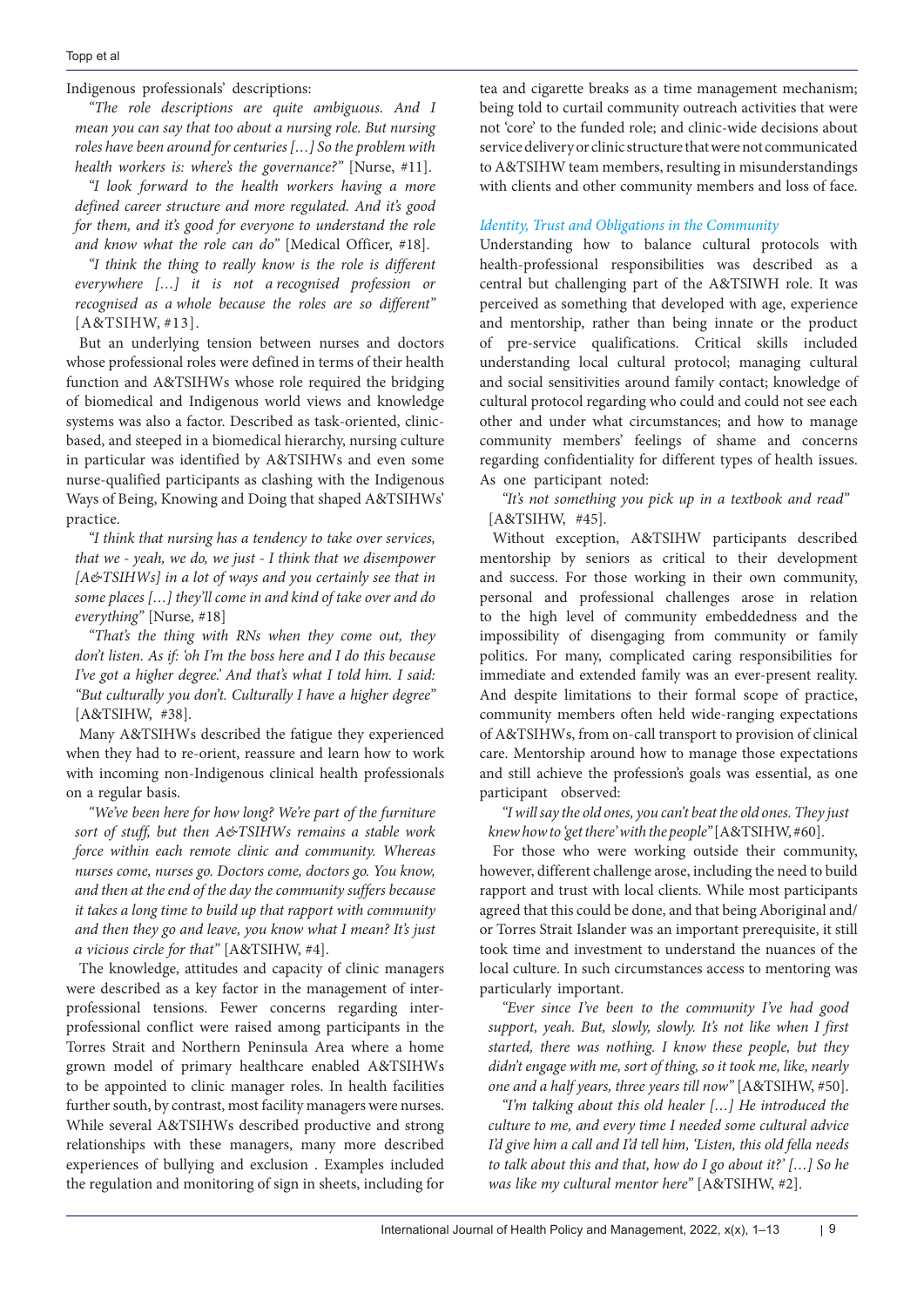Indigenous professionals' descriptions:

*"The role descriptions are quite ambiguous. And I mean you can say that too about a nursing role. But nursing roles have been around for centuries […] So the problem with health workers is: where's the governance?"* [Nurse, #11].

*"I look forward to the health workers having a more defined career structure and more regulated. And it's good for them, and it's good for everyone to understand the role and know what the role can do"* [Medical Officer, #18].

*"I think the thing to really know is the role is different everywhere […] it is not a recognised profession or recognised as a whole because the roles are so different"*  [A&TSIHW, #13].

But an underlying tension between nurses and doctors whose professional roles were defined in terms of their health function and A&TSIHWs whose role required the bridging of biomedical and Indigenous world views and knowledge systems was also a factor. Described as task-oriented, clinicbased, and steeped in a biomedical hierarchy, nursing culture in particular was identified by A&TSIHWs and even some nurse-qualified participants as clashing with the Indigenous Ways of Being, Knowing and Doing that shaped A&TSIHWs' practice.

*"I think that nursing has a tendency to take over services, that we - yeah, we do, we just - I think that we disempower [A&TSIHWs] in a lot of ways and you certainly see that in some places […] they'll come in and kind of take over and do everything"* [Nurse, #18]

*"That's the thing with RNs when they come out, they don't listen. As if: 'oh I'm the boss here and I do this because I've got a higher degree.' And that's what I told him. I said: "But culturally you don't. Culturally I have a higher degree"*  [A&TSIHW, #38].

Many A&TSIHWs described the fatigue they experienced when they had to re-orient, reassure and learn how to work with incoming non-Indigenous clinical health professionals on a regular basis.

*"We've been here for how long? We're part of the furniture sort of stuff, but then A&TSIHWs remains a stable work force within each remote clinic and community. Whereas nurses come, nurses go. Doctors come, doctors go. You know, and then at the end of the day the community suffers because it takes a long time to build up that rapport with community and then they go and leave, you know what I mean? It's just a vicious circle for that"* [A&TSIHW, #4].

The knowledge, attitudes and capacity of clinic managers were described as a key factor in the management of interprofessional tensions. Fewer concerns regarding interprofessional conflict were raised among participants in the Torres Strait and Northern Peninsula Area where a home grown model of primary healthcare enabled A&TSIHWs to be appointed to clinic manager roles. In health facilities further south, by contrast, most facility managers were nurses. While several A&TSIHWs described productive and strong relationships with these managers, many more described experiences of bullying and exclusion . Examples included the regulation and monitoring of sign in sheets, including for tea and cigarette breaks as a time management mechanism; being told to curtail community outreach activities that were not 'core' to the funded role; and clinic-wide decisions about service delivery or clinic structure that were not communicated to A&TSIHW team members, resulting in misunderstandings with clients and other community members and loss of face.

## *Identity, Trust and Obligations in the Community*

Understanding how to balance cultural protocols with health-professional responsibilities was described as a central but challenging part of the A&TSIWH role. It was perceived as something that developed with age, experience and mentorship, rather than being innate or the product of pre-service qualifications. Critical skills included understanding local cultural protocol; managing cultural and social sensitivities around family contact; knowledge of cultural protocol regarding who could and could not see each other and under what circumstances; and how to manage community members' feelings of shame and concerns regarding confidentiality for different types of health issues. As one participant noted:

*"It's not something you pick up in a textbook and read"*  [A&TSIHW, #45].

Without exception, A&TSIHW participants described mentorship by seniors as critical to their development and success. For those working in their own community, personal and professional challenges arose in relation to the high level of community embeddedness and the impossibility of disengaging from community or family politics. For many, complicated caring responsibilities for immediate and extended family was an ever-present reality. And despite limitations to their formal scope of practice, community members often held wide-ranging expectations of A&TSIHWs, from on-call transport to provision of clinical care. Mentorship around how to manage those expectations and still achieve the profession's goals was essential, as one participant observed:

*"I will say the old ones, you can't beat the old ones. They just knew how to 'get there' with the people"* [A&TSIHW, #60].

For those who were working outside their community, however, different challenge arose, including the need to build rapport and trust with local clients. While most participants agreed that this could be done, and that being Aboriginal and/ or Torres Strait Islander was an important prerequisite, it still took time and investment to understand the nuances of the local culture. In such circumstances access to mentoring was particularly important.

*"Ever since I've been to the community I've had good support, yeah. But, slowly, slowly. It's not like when I first started, there was nothing. I know these people, but they didn't engage with me, sort of thing, so it took me, like, nearly one and a half years, three years till now"* [A&TSIHW, #50].

*"I'm talking about this old healer […] He introduced the culture to me, and every time I needed some cultural advice I'd give him a call and I'd tell him, 'Listen, this old fella needs to talk about this and that, how do I go about it?' […] So he was like my cultural mentor here"* [A&TSIHW, #2].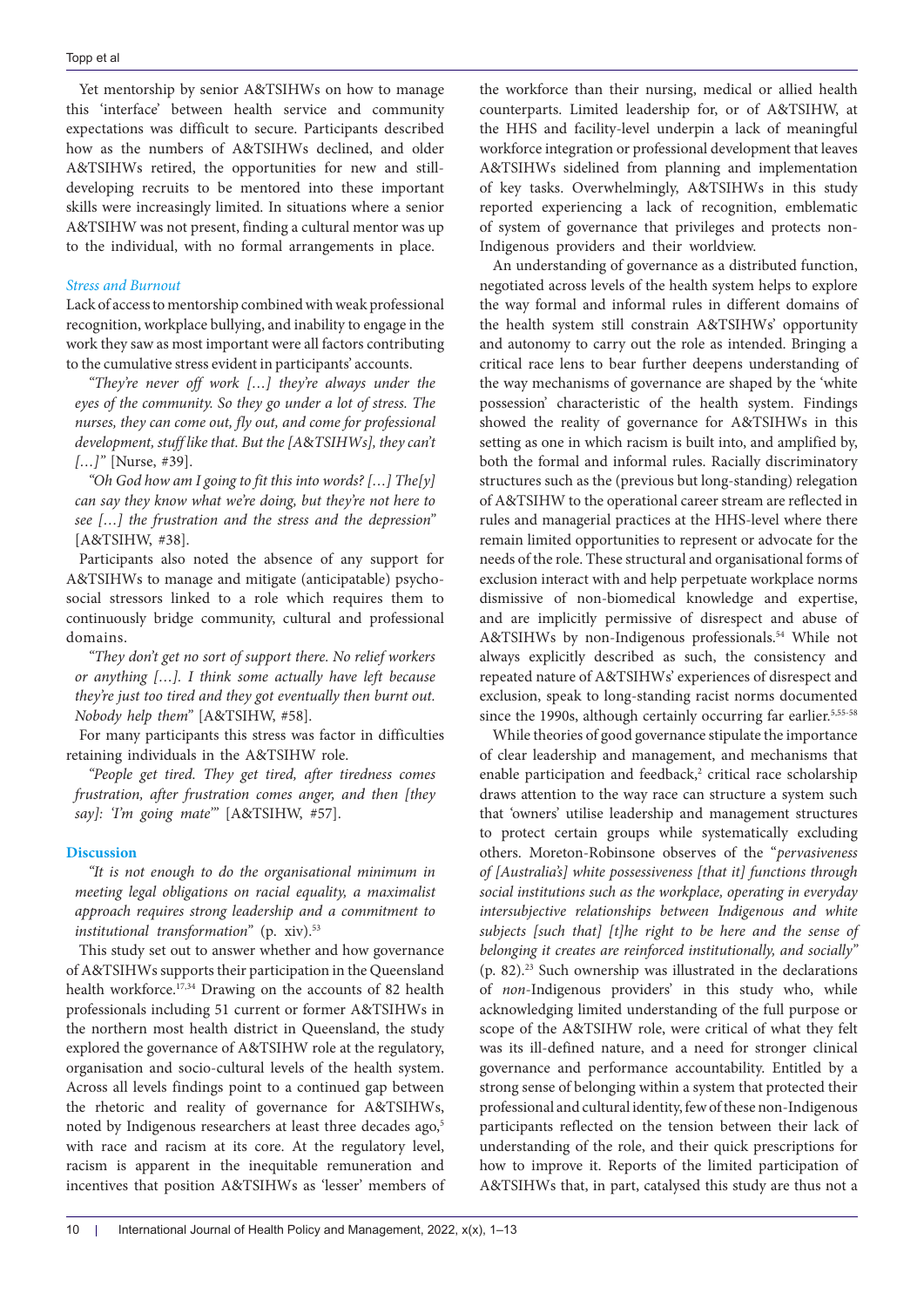Yet mentorship by senior A&TSIHWs on how to manage this 'interface' between health service and community expectations was difficult to secure. Participants described how as the numbers of A&TSIHWs declined, and older A&TSIHWs retired, the opportunities for new and stilldeveloping recruits to be mentored into these important skills were increasingly limited. In situations where a senior A&TSIHW was not present, finding a cultural mentor was up to the individual, with no formal arrangements in place.

#### *Stress and Burnout*

Lack of access to mentorship combined with weak professional recognition, workplace bullying, and inability to engage in the work they saw as most important were all factors contributing to the cumulative stress evident in participants' accounts.

*"They're never off work […] they're always under the eyes of the community. So they go under a lot of stress. The nurses, they can come out, fly out, and come for professional development, stuff like that. But the [A*&*TSIHWs], they can't […]"* [Nurse, #39].

*"Oh God how am I going to fit this into words? […] The[y] can say they know what we're doing, but they're not here to see […] the frustration and the stress and the depression"*  [A&TSIHW, #38].

Participants also noted the absence of any support for A&TSIHWs to manage and mitigate (anticipatable) psychosocial stressors linked to a role which requires them to continuously bridge community, cultural and professional domains.

*"They don't get no sort of support there. No relief workers or anything […]. I think some actually have left because they're just too tired and they got eventually then burnt out. Nobody help them"* [A&TSIHW, #58].

For many participants this stress was factor in difficulties retaining individuals in the A&TSIHW role.

*"People get tired. They get tired, after tiredness comes frustration, after frustration comes anger, and then [they say]: 'I'm going mate'"* [A&TSIHW, #57].

#### **Discussion**

*"It is not enough to do the organisational minimum in meeting legal obligations on racial equality, a maximalist approach requires strong leadership and a commitment to institutional transformation*" (p. xiv).<sup>53</sup>

This study set out to answer whether and how governance of A&TSIHWs supports their participation in the Queensland health workforce.<sup>17,34</sup> Drawing on the accounts of 82 health professionals including 51 current or former A&TSIHWs in the northern most health district in Queensland, the study explored the governance of A&TSIHW role at the regulatory, organisation and socio-cultural levels of the health system. Across all levels findings point to a continued gap between the rhetoric and reality of governance for A&TSIHWs, noted by Indigenous researchers at least three decades ago,<sup>5</sup> with race and racism at its core. At the regulatory level, racism is apparent in the inequitable remuneration and incentives that position A&TSIHWs as 'lesser' members of

the workforce than their nursing, medical or allied health counterparts. Limited leadership for, or of A&TSIHW, at the HHS and facility-level underpin a lack of meaningful workforce integration or professional development that leaves A&TSIHWs sidelined from planning and implementation of key tasks. Overwhelmingly, A&TSIHWs in this study reported experiencing a lack of recognition, emblematic of system of governance that privileges and protects non-Indigenous providers and their worldview.

An understanding of governance as a distributed function, negotiated across levels of the health system helps to explore the way formal and informal rules in different domains of the health system still constrain A&TSIHWs' opportunity and autonomy to carry out the role as intended. Bringing a critical race lens to bear further deepens understanding of the way mechanisms of governance are shaped by the 'white possession' characteristic of the health system. Findings showed the reality of governance for A&TSIHWs in this setting as one in which racism is built into, and amplified by, both the formal and informal rules. Racially discriminatory structures such as the (previous but long-standing) relegation of A&TSIHW to the operational career stream are reflected in rules and managerial practices at the HHS-level where there remain limited opportunities to represent or advocate for the needs of the role. These structural and organisational forms of exclusion interact with and help perpetuate workplace norms dismissive of non-biomedical knowledge and expertise, and are implicitly permissive of disrespect and abuse of A&TSIHWs by non-Indigenous professionals.<sup>54</sup> While not always explicitly described as such, the consistency and repeated nature of A&TSIHWs' experiences of disrespect and exclusion, speak to long-standing racist norms documented since the 1990s, although certainly occurring far earlier.<sup>5,55-58</sup>

While theories of good governance stipulate the importance of clear leadership and management, and mechanisms that enable participation and feedback, $2$  critical race scholarship draws attention to the way race can structure a system such that 'owners' utilise leadership and management structures to protect certain groups while systematically excluding others. Moreton-Robinsone observes of the "*pervasiveness of [Australia's] white possessiveness [that it] functions through social institutions such as the workplace, operating in everyday intersubjective relationships between Indigenous and white subjects [such that] [t]he right to be here and the sense of belonging it creates are reinforced institutionally, and socially"*   $(p. 82).<sup>23</sup>$  Such ownership was illustrated in the declarations of *non*-Indigenous providers' in this study who, while acknowledging limited understanding of the full purpose or scope of the A&TSIHW role, were critical of what they felt was its ill-defined nature, and a need for stronger clinical governance and performance accountability. Entitled by a strong sense of belonging within a system that protected their professional and cultural identity, few of these non-Indigenous participants reflected on the tension between their lack of understanding of the role, and their quick prescriptions for how to improve it. Reports of the limited participation of A&TSIHWs that, in part, catalysed this study are thus not a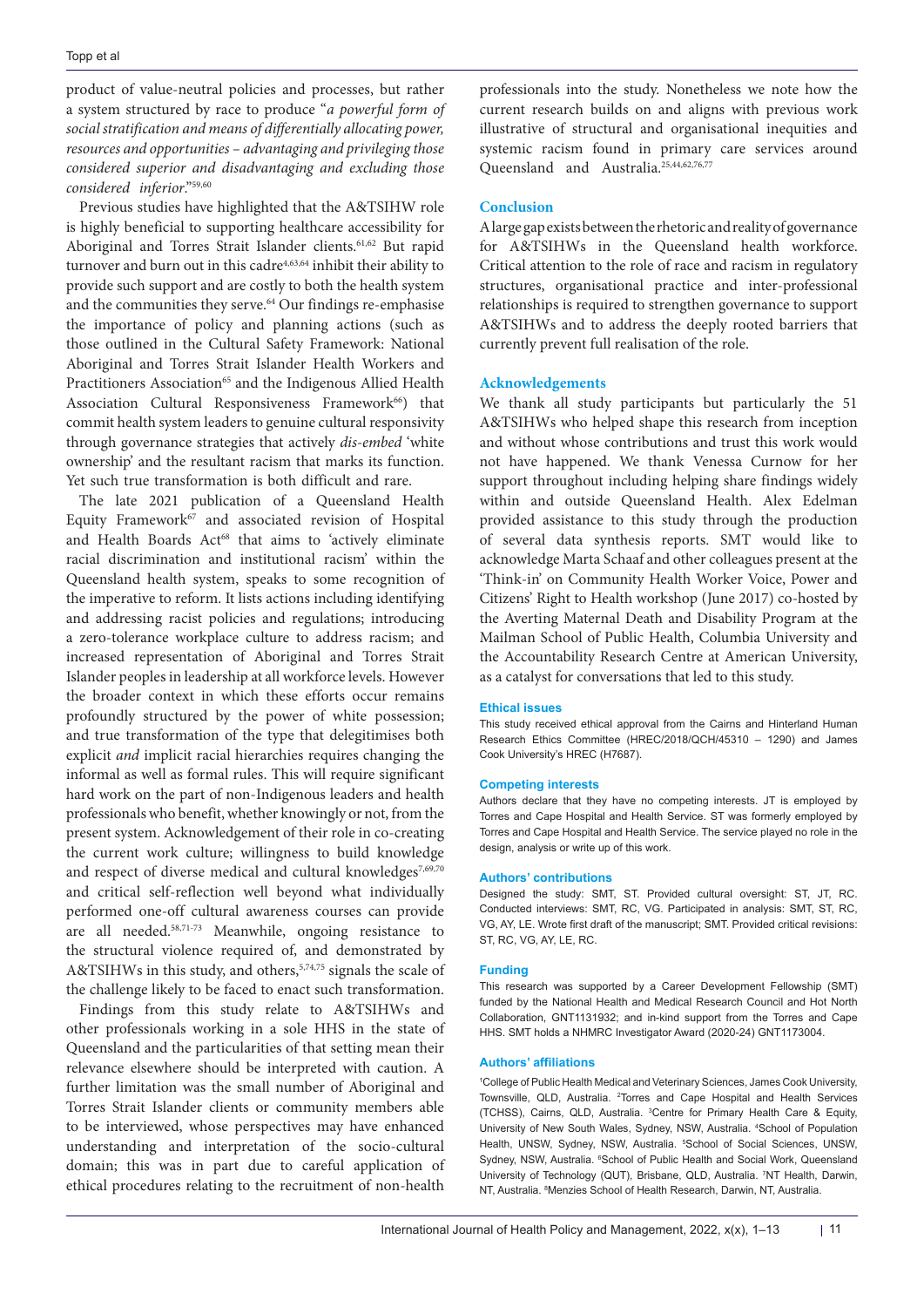product of value-neutral policies and processes, but rather a system structured by race to produce "*a powerful form of social stratification and means of differentially allocating power, resources and opportunities – advantaging and privileging those considered superior and disadvantaging and excluding those considered inferior*."59,60

Previous studies have highlighted that the A&TSIHW role is highly beneficial to supporting healthcare accessibility for Aboriginal and Torres Strait Islander clients.<sup>61,62</sup> But rapid turnover and burn out in this cadre<sup>4,63,64</sup> inhibit their ability to provide such support and are costly to both the health system and the communities they serve.<sup>64</sup> Our findings re-emphasise the importance of policy and planning actions (such as those outlined in the Cultural Safety Framework: National Aboriginal and Torres Strait Islander Health Workers and Practitioners Association<sup>65</sup> and the Indigenous Allied Health Association Cultural Responsiveness Framework<sup>66</sup>) that commit health system leaders to genuine cultural responsivity through governance strategies that actively *dis-embed* 'white ownership' and the resultant racism that marks its function. Yet such true transformation is both difficult and rare.

The late 2021 publication of a Queensland Health Equity Framework $67$  and associated revision of Hospital and Health Boards Act<sup>68</sup> that aims to 'actively eliminate racial discrimination and institutional racism' within the Queensland health system, speaks to some recognition of the imperative to reform. It lists actions including identifying and addressing racist policies and regulations; introducing a zero-tolerance workplace culture to address racism; and increased representation of Aboriginal and Torres Strait Islander peoples in leadership at all workforce levels. However the broader context in which these efforts occur remains profoundly structured by the power of white possession; and true transformation of the type that delegitimises both explicit *and* implicit racial hierarchies requires changing the informal as well as formal rules. This will require significant hard work on the part of non-Indigenous leaders and health professionals who benefit, whether knowingly or not, from the present system. Acknowledgement of their role in co-creating the current work culture; willingness to build knowledge and respect of diverse medical and cultural knowledges<sup>7,69,70</sup> and critical self-reflection well beyond what individually performed one-off cultural awareness courses can provide are all needed.58,71-73 Meanwhile, ongoing resistance to the structural violence required of, and demonstrated by A&TSIHWs in this study, and others,<sup>5,74,75</sup> signals the scale of the challenge likely to be faced to enact such transformation.

Findings from this study relate to A&TSIHWs and other professionals working in a sole HHS in the state of Queensland and the particularities of that setting mean their relevance elsewhere should be interpreted with caution. A further limitation was the small number of Aboriginal and Torres Strait Islander clients or community members able to be interviewed, whose perspectives may have enhanced understanding and interpretation of the socio-cultural domain; this was in part due to careful application of ethical procedures relating to the recruitment of non-health

professionals into the study. Nonetheless we note how the current research builds on and aligns with previous work illustrative of structural and organisational inequities and systemic racism found in primary care services around Queensland and Australia.<sup>25,44,62,76,77</sup>

### **Conclusion**

A large gap exists between the rhetoric and reality of governance for A&TSIHWs in the Queensland health workforce. Critical attention to the role of race and racism in regulatory structures, organisational practice and inter-professional relationships is required to strengthen governance to support A&TSIHWs and to address the deeply rooted barriers that currently prevent full realisation of the role.

### **Acknowledgements**

We thank all study participants but particularly the 51 A&TSIHWs who helped shape this research from inception and without whose contributions and trust this work would not have happened. We thank Venessa Curnow for her support throughout including helping share findings widely within and outside Queensland Health. Alex Edelman provided assistance to this study through the production of several data synthesis reports. SMT would like to acknowledge Marta Schaaf and other colleagues present at the 'Think-in' on Community Health Worker Voice, Power and Citizens' Right to Health workshop (June 2017) co-hosted by the Averting Maternal Death and Disability Program at the Mailman School of Public Health, Columbia University and the Accountability Research Centre at American University, as a catalyst for conversations that led to this study.

#### **Ethical issues**

This study received ethical approval from the Cairns and Hinterland Human Research Ethics Committee (HREC/2018/QCH/45310 – 1290) and James Cook University's HREC (H7687).

#### **Competing interests**

Authors declare that they have no competing interests. JT is employed by Torres and Cape Hospital and Health Service. ST was formerly employed by Torres and Cape Hospital and Health Service. The service played no role in the design, analysis or write up of this work.

#### **Authors' contributions**

Designed the study: SMT, ST. Provided cultural oversight: ST, JT, RC. Conducted interviews: SMT, RC, VG. Participated in analysis: SMT, ST, RC, VG, AY, LE. Wrote first draft of the manuscript; SMT. Provided critical revisions: ST, RC, VG, AY, LE, RC.

#### **Funding**

This research was supported by a Career Development Fellowship (SMT) funded by the National Health and Medical Research Council and Hot North Collaboration, GNT1131932; and in-kind support from the Torres and Cape HHS. SMT holds a NHMRC Investigator Award (2020-24) GNT1173004.

#### **Authors' affiliations**

1 College of Public Health Medical and Veterinary Sciences, James Cook University, Townsville, QLD, Australia. <sup>2</sup>Torres and Cape Hospital and Health Services (TCHSS), Cairns, QLD, Australia. 3 Centre for Primary Health Care & Equity, University of New South Wales, Sydney, NSW, Australia. 4 School of Population Health, UNSW, Sydney, NSW, Australia. <sup>5</sup>School of Social Sciences, UNSW, Sydney, NSW, Australia. <sup>6</sup>School of Public Health and Social Work, Queensland University of Technology (QUT), Brisbane, QLD, Australia. 7 NT Health, Darwin, NT, Australia. <sup>8</sup>Menzies School of Health Research, Darwin, NT, Australia.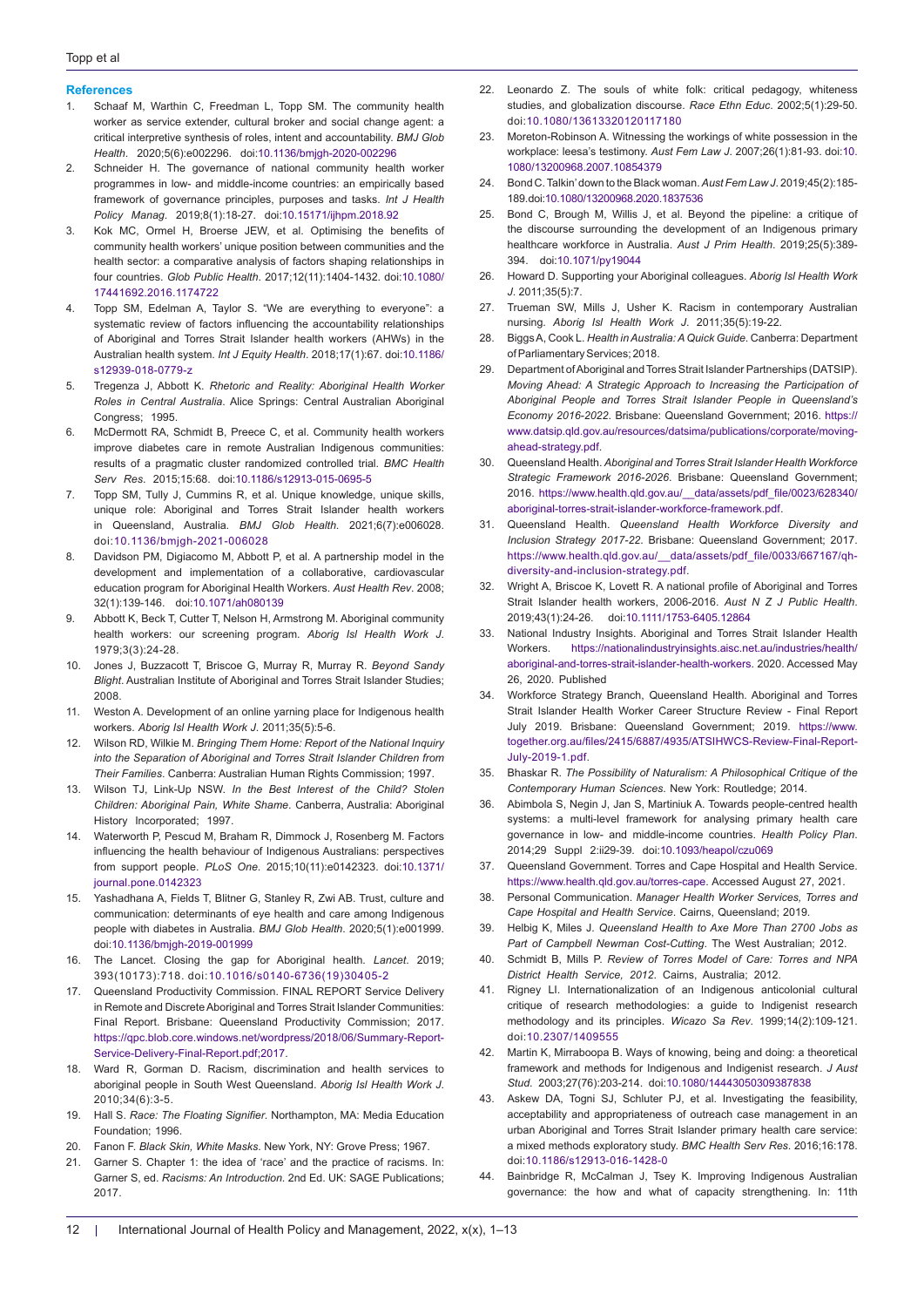#### **References**

- 1. Schaaf M, Warthin C, Freedman L, Topp SM. The community health worker as service extender, cultural broker and social change agent: a critical interpretive synthesis of roles, intent and accountability. *BMJ Glob Health*. 2020;5(6):e002296. doi[:10.1136/bmjgh-2020-002296](https://doi.org/10.1136/bmjgh-2020-002296)
- 2. Schneider H. The governance of national community health worker programmes in low- and middle-income countries: an empirically based framework of governance principles, purposes and tasks. *Int J Health Policy Manag*. 2019;8(1):18-27. doi:[10.15171/ijhpm.2018.92](https://doi.org/10.15171/ijhpm.2018.92)
- 3. Kok MC, Ormel H, Broerse JEW, et al. Optimising the benefits of community health workers' unique position between communities and the health sector: a comparative analysis of factors shaping relationships in four countries. *Glob Public Health*. 2017;12(11):1404-1432. doi[:10.1080/](https://doi.org/10.1080/17441692.2016.1174722) [17441692.2016.1174722](https://doi.org/10.1080/17441692.2016.1174722)
- 4. Topp SM, Edelman A, Taylor S. "We are everything to everyone": a systematic review of factors influencing the accountability relationships of Aboriginal and Torres Strait Islander health workers (AHWs) in the Australian health system. *Int J Equity Health*. 2018;17(1):67. doi:[10.1186/](https://doi.org/10.1186/s12939-018-0779-z) [s12939-018-0779-z](https://doi.org/10.1186/s12939-018-0779-z)
- 5. Tregenza J, Abbott K. *Rhetoric and Reality: Aboriginal Health Worker Roles in Central Australia*. Alice Springs: Central Australian Aboriginal Congress; 1995.
- 6. McDermott RA, Schmidt B, Preece C, et al. Community health workers improve diabetes care in remote Australian Indigenous communities: results of a pragmatic cluster randomized controlled trial. *BMC Health Serv Res*. 2015;15:68. doi:[10.1186/s12913-015-0695-5](https://doi.org/10.1186/s12913-015-0695-5)
- 7. Topp SM, Tully J, Cummins R, et al. Unique knowledge, unique skills, unique role: Aboriginal and Torres Strait Islander health workers in Queensland, Australia. *BMJ Glob Health*. 2021;6(7):e006028. doi[:10.1136/bmjgh-2021-006028](https://doi.org/10.1136/bmjgh-2021-006028)
- 8. Davidson PM, Digiacomo M, Abbott P, et al. A partnership model in the development and implementation of a collaborative, cardiovascular education program for Aboriginal Health Workers. *Aust Health Rev*. 2008; 32(1):139-146. doi[:10.1071/ah080139](https://doi.org/10.1071/ah080139)
- 9. Abbott K, Beck T, Cutter T, Nelson H, Armstrong M. Aboriginal community health workers: our screening program. *Aborig Isl Health Work J*. 1979;3(3):24-28.
- 10. Jones J, Buzzacott T, Briscoe G, Murray R, Murray R. *Beyond Sandy Blight*. Australian Institute of Aboriginal and Torres Strait Islander Studies; 2008.
- 11. Weston A. Development of an online yarning place for Indigenous health workers. *Aborig Isl Health Work J*. 2011;35(5):5-6.
- 12. Wilson RD, Wilkie M. *Bringing Them Home: Report of the National Inquiry into the Separation of Aboriginal and Torres Strait Islander Children from Their Families*. Canberra: Australian Human Rights Commission; 1997.
- 13. Wilson TJ, Link-Up NSW. *In the Best Interest of the Child? Stolen Children: Aboriginal Pain, White Shame*. Canberra, Australia: Aboriginal History Incorporated; 1997.
- 14. Waterworth P, Pescud M, Braham R, Dimmock J, Rosenberg M. Factors influencing the health behaviour of Indigenous Australians: perspectives from support people. *PLoS One*. 2015;10(11):e0142323. doi[:10.1371/](https://doi.org/10.1371/journal.pone.0142323) [journal.pone.0142323](https://doi.org/10.1371/journal.pone.0142323)
- 15. Yashadhana A, Fields T, Blitner G, Stanley R, Zwi AB. Trust, culture and communication: determinants of eye health and care among Indigenous people with diabetes in Australia. *BMJ Glob Health*. 2020;5(1):e001999. doi:[10.1136/bmjgh-2019-001999](https://doi.org/10.1136/bmjgh-2019-001999)
- 16. The Lancet. Closing the gap for Aboriginal health. *Lancet*. 2019; 393(10173):718. doi:[10.1016/s0140-6736\(19\)30405-2](https://doi.org/10.1016/s0140-6736(19)30405-2)
- 17. Queensland Productivity Commission. FINAL REPORT Service Delivery in Remote and Discrete Aboriginal and Torres Strait Islander Communities: Final Report. Brisbane: Queensland Productivity Commission; 2017. [https://qpc.blob.core.windows.net/wordpress/2018/06/Summary-Report-](https://qpc.blob.core.windows.net/wordpress/2018/06/Summary-Report-Service-Delivery-Final-Report.pdf;2017)[Service-Delivery-Final-Report.pdf;2017.](https://qpc.blob.core.windows.net/wordpress/2018/06/Summary-Report-Service-Delivery-Final-Report.pdf;2017)
- 18. Ward R, Gorman D. Racism, discrimination and health services to aboriginal people in South West Queensland. *Aborig Isl Health Work J*. 2010;34(6):3-5.
- 19. Hall S. *Race: The Floating Signifier*. Northampton, MA: Media Education Foundation; 1996.
- 20. Fanon F. *Black Skin, White Masks*. New York, NY: Grove Press; 1967.
- 21. Garner S. Chapter 1: the idea of 'race' and the practice of racisms. In: Garner S, ed. *Racisms: An Introduction*. 2nd Ed. UK: SAGE Publications; 2017.
- 22. Leonardo Z. The souls of white folk: critical pedagogy, whiteness studies, and globalization discourse. *Race Ethn Educ*. 2002;5(1):29-50. doi[:10.1080/13613320120117180](https://doi.org/10.1080/13613320120117180)
- 23. Moreton-Robinson A. Witnessing the workings of white possession in the workplace: leesa's testimony. *Aust Fem Law J*. 2007;26(1):81-93. doi[:10.](https://doi.org/10.1080/13200968.2007.10854379) [1080/13200968.2007.10854379](https://doi.org/10.1080/13200968.2007.10854379)
- 24. Bond C. Talkin' down to the Black woman. *Aust Fem Law J*. 2019;45(2):185- 189. doi[:10.1080/13200968.2020.1837536](https://doi.org/10.1080/13200968.2020.1837536)
- 25. Bond C, Brough M, Willis J, et al. Beyond the pipeline: a critique of the discourse surrounding the development of an Indigenous primary healthcare workforce in Australia. *Aust J Prim Health*. 2019;25(5):389- 394. doi[:10.1071/py19044](https://doi.org/10.1071/py19044)
- 26. Howard D. Supporting your Aboriginal colleagues. *Aborig Isl Health Work J*. 2011;35(5):7.
- 27. Trueman SW, Mills J, Usher K. Racism in contemporary Australian nursing. *Aborig Isl Health Work J*. 2011;35(5):19-22.
- 28. Biggs A, Cook L. *Health in Australia: A Quick Guide*. Canberra: Department of Parliamentary Services; 2018.
- 29. Department of Aboriginal and Torres Strait Islander Partnerships (DATSIP). *Moving Ahead: A Strategic Approach to Increasing the Participation of Aboriginal People and Torres Strait Islander People in Queensland's Economy 2016-2022*. Brisbane: Queensland Government; 2016. [https://](https://www.datsip.qld.gov.au/resources/datsima/publications/corporate/moving-ahead-strategy.pdf) [www.datsip.qld.gov.au/resources/datsima/publications/corporate/moving](https://www.datsip.qld.gov.au/resources/datsima/publications/corporate/moving-ahead-strategy.pdf)[ahead-strategy.pdf](https://www.datsip.qld.gov.au/resources/datsima/publications/corporate/moving-ahead-strategy.pdf).
- 30. Queensland Health. *Aboriginal and Torres Strait Islander Health Workforce Strategic Framework 2016-2026*. Brisbane: Queensland Government; 2016. [https://www.health.qld.gov.au/\\_\\_data/assets/pdf\\_file/0023/628340/](https://www.health.qld.gov.au/__data/assets/pdf_file/0023/628340/aboriginal-torres-strait-islander-workforce-framework.pdf) [aboriginal-torres-strait-islander-workforce-framework.pdf.](https://www.health.qld.gov.au/__data/assets/pdf_file/0023/628340/aboriginal-torres-strait-islander-workforce-framework.pdf)
- 31. Queensland Health. *Queensland Health Workforce Diversity and Inclusion Strategy 2017-22*. Brisbane: Queensland Government; 2017. [https://www.health.qld.gov.au/\\_\\_data/assets/pdf\\_file/0033/667167/qh](https://www.health.qld.gov.au/__data/assets/pdf_file/0033/667167/qh-diversity-and-inclusion-strategy.pdf)[diversity-and-inclusion-strategy.pdf](https://www.health.qld.gov.au/__data/assets/pdf_file/0033/667167/qh-diversity-and-inclusion-strategy.pdf).
- 32. Wright A, Briscoe K, Lovett R. A national profile of Aboriginal and Torres Strait Islander health workers, 2006-2016. *Aust N Z J Public Health*. 2019;43(1):24-26. doi[:10.1111/1753-6405.12864](https://doi.org/10.1111/1753-6405.12864)
- 33. National Industry Insights. Aboriginal and Torres Strait Islander Health Workers. [https://nationalindustryinsights.aisc.net.au/industries/health/](https://nationalindustryinsights.aisc.net.au/industries/health/aboriginal-and-torres-strait-islander-health-workers) [aboriginal-and-torres-strait-islander-health-workers](https://nationalindustryinsights.aisc.net.au/industries/health/aboriginal-and-torres-strait-islander-health-workers). 2020. Accessed May 26, 2020. Published
- 34. Workforce Strategy Branch, Queensland Health. Aboriginal and Torres Strait Islander Health Worker Career Structure Review - Final Report July 2019. Brisbane: Queensland Government; 2019. [https://www.](https://www.together.org.au/files/2415/6887/4935/ATSIHWCS-Review-Final-Report-July-2019-1.pdf) [together.org.au/files/2415/6887/4935/ATSIHWCS-Review-Final-Report-](https://www.together.org.au/files/2415/6887/4935/ATSIHWCS-Review-Final-Report-July-2019-1.pdf)[July-2019-1.pdf](https://www.together.org.au/files/2415/6887/4935/ATSIHWCS-Review-Final-Report-July-2019-1.pdf).
- 35. Bhaskar R. *The Possibility of Naturalism: A Philosophical Critique of the Contemporary Human Sciences*. New York: Routledge; 2014.
- 36. Abimbola S, Negin J, Jan S, Martiniuk A. Towards people-centred health systems: a multi-level framework for analysing primary health care governance in low- and middle-income countries. *Health Policy Plan*. 2014;29 Suppl 2:ii29-39. doi[:10.1093/heapol/czu069](https://doi.org/10.1093/heapol/czu069)
- 37. Queensland Government. Torres and Cape Hospital and Health Service. [https://www.health.qld.gov.au/torres-cape.](https://www.health.qld.gov.au/torres-cape) Accessed August 27, 2021.
- 38. Personal Communication. *Manager Health Worker Services, Torres and Cape Hospital and Health Service*. Cairns, Queensland; 2019.
- 39. Helbig K, Miles J. *Queensland Health to Axe More Than 2700 Jobs as Part of Campbell Newman Cost-Cutting*. The West Australian; 2012.
- 40. Schmidt B, Mills P. *Review of Torres Model of Care: Torres and NPA District Health Service, 2012*. Cairns, Australia; 2012.
- 41. Rigney LI. Internationalization of an Indigenous anticolonial cultural critique of research methodologies: a guide to Indigenist research methodology and its principles. *Wicazo Sa Rev*. 1999;14(2):109-121. doi:[10.2307/1409555](https://doi.org/10.2307/1409555)
- 42. Martin K, Mirraboopa B. Ways of knowing, being and doing: a theoretical framework and methods for Indigenous and Indigenist research. *J Aust Stud*. 2003;27(76):203-214. doi[:10.1080/14443050309387838](https://doi.org/10.1080/14443050309387838)
- 43. Askew DA, Togni SJ, Schluter PJ, et al. Investigating the feasibility, acceptability and appropriateness of outreach case management in an urban Aboriginal and Torres Strait Islander primary health care service: a mixed methods exploratory study. *BMC Health Serv Res*. 2016;16:178. doi:[10.1186/s12913-016-1428-0](https://doi.org/10.1186/s12913-016-1428-0)
- 44. Bainbridge R, McCalman J, Tsey K. Improving Indigenous Australian governance: the how and what of capacity strengthening. In: 11th